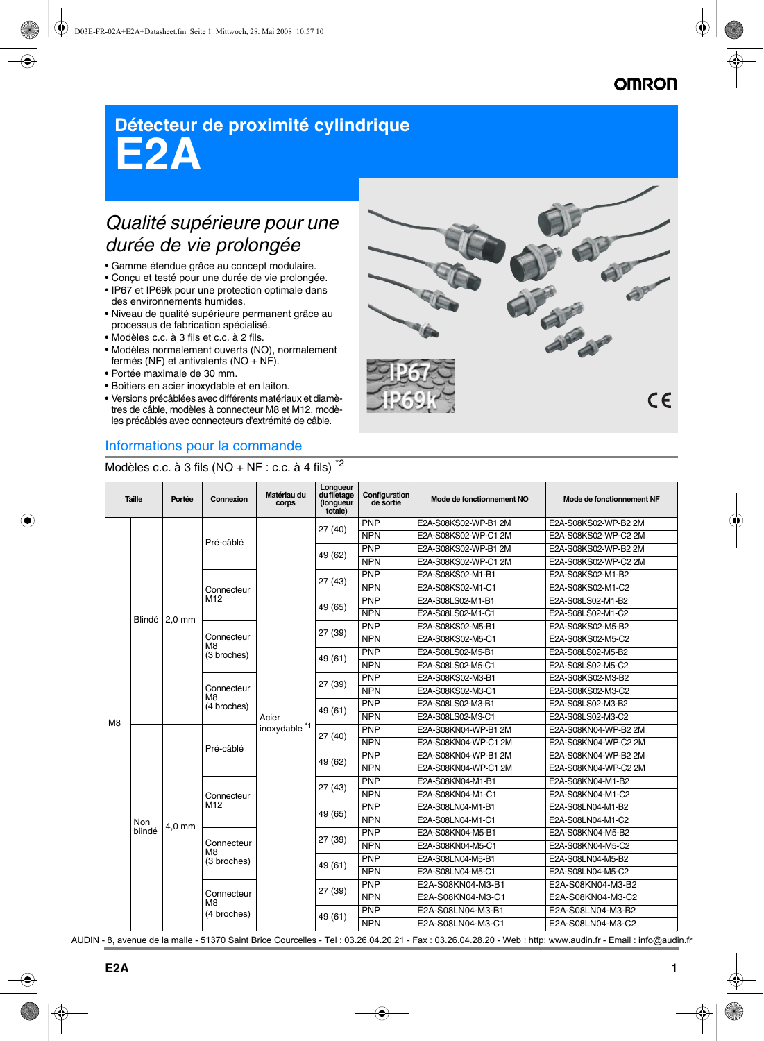# **Détecteur de proximité cylindrique E2A**

# *Qualité supérieure pour une durée de vie prolongée*

- Gamme étendue grâce au concept modulaire.
- Conçu et testé pour une durée de vie prolongée.
- IP67 et IP69k pour une protection optimale dans des environnements humides.
- Niveau de qualité supérieure permanent grâce au processus de fabrication spécialisé.
- Modèles c.c. à 3 fils et c.c. à 2 fils.
- Modèles normalement ouverts (NO), normalement fermés (NF) et antivalents (NO + NF).
- Portée maximale de 30 mm.
- Boîtiers en acier inoxydable et en laiton.
- Versions précâblées avec différents matériaux et diamètres de câble, modèles à connecteur M8 et M12, modèles précâblés avec connecteurs d'extrémité de câble.

## Informations pour la commande

### Modèles c.c. à 3 fils (NO + NF : c.c. à 4 fils)<sup> $2$ </sup>

| <b>Taille</b>  |        | Portée<br>Connexion |                                 | Matériau du<br>corps     | Longueur<br>du filetage<br>(longueur<br>totale) | Configuration<br>de sortie | Mode de fonctionnement NO | Mode de fonctionnement NF |
|----------------|--------|---------------------|---------------------------------|--------------------------|-------------------------------------------------|----------------------------|---------------------------|---------------------------|
|                |        |                     |                                 |                          | 27 (40)                                         | PNP                        | E2A-S08KS02-WP-B1 2M      | E2A-S08KS02-WP-B2 2M      |
|                |        |                     | Pré-câblé                       |                          |                                                 | <b>NPN</b>                 | E2A-S08KS02-WP-C1 2M      | E2A-S08KS02-WP-C2 2M      |
|                |        |                     |                                 |                          | 49 (62)                                         | PNP                        | E2A-S08KS02-WP-B1 2M      | E2A-S08KS02-WP-B2 2M      |
|                |        |                     |                                 |                          |                                                 | <b>NPN</b>                 | E2A-S08KS02-WP-C1 2M      | E2A-S08KS02-WP-C2 2M      |
|                |        |                     |                                 |                          | 27 (43)                                         | <b>PNP</b>                 | E2A-S08KS02-M1-B1         | E2A-S08KS02-M1-B2         |
|                |        |                     | Connecteur                      |                          |                                                 | <b>NPN</b>                 | E2A-S08KS02-M1-C1         | E2A-S08KS02-M1-C2         |
|                |        |                     | M <sub>12</sub>                 |                          | 49 (65)                                         | PNP                        | E2A-S08LS02-M1-B1         | E2A-S08LS02-M1-B2         |
|                | Blindé | $2.0$ mm            |                                 |                          |                                                 | <b>NPN</b>                 | E2A-S08LS02-M1-C1         | E2A-S08LS02-M1-C2         |
|                |        |                     |                                 |                          | 27 (39)                                         | <b>PNP</b>                 | E2A-S08KS02-M5-B1         | E2A-S08KS02-M5-B2         |
|                |        |                     | Connecteur<br>M <sub>8</sub>    | Acier                    |                                                 | <b>NPN</b>                 | E2A-S08KS02-M5-C1         | E2A-S08KS02-M5-C2         |
|                |        |                     | (3 broches)                     |                          |                                                 | <b>PNP</b>                 | E2A-S08LS02-M5-B1         | E2A-S08LS02-M5-B2         |
|                |        |                     |                                 |                          | 49 (61)                                         | <b>NPN</b>                 | E2A-S08LS02-M5-C1         | E2A-S08LS02-M5-C2         |
|                |        |                     | Connecteur<br>M8<br>(4 broches) |                          | 27 (39)                                         | <b>PNP</b>                 | E2A-S08KS02-M3-B1         | E2A-S08KS02-M3-B2         |
|                |        |                     |                                 |                          |                                                 | <b>NPN</b>                 | E2A-S08KS02-M3-C1         | E2A-S08KS02-M3-C2         |
|                |        |                     |                                 |                          | 49 (61)                                         | PNP                        | E2A-S08LS02-M3-B1         | E2A-S08LS02-M3-B2         |
| M <sub>8</sub> |        |                     |                                 |                          |                                                 | <b>NPN</b>                 | E2A-S08LS02-M3-C1         | E2A-S08LS02-M3-C2         |
|                |        |                     | Pré-câblé                       | inoxydable <sup>*1</sup> | 27 (40)                                         | <b>PNP</b>                 | E2A-S08KN04-WP-B1 2M      | E2A-S08KN04-WP-B2 2M      |
|                |        |                     |                                 |                          | 49 (62)                                         | <b>NPN</b>                 | E2A-S08KN04-WP-C1 2M      | E2A-S08KN04-WP-C2 2M      |
|                |        |                     |                                 |                          |                                                 | PNP                        | E2A-S08KN04-WP-B1 2M      | E2A-S08KN04-WP-B2 2M      |
|                |        |                     |                                 |                          |                                                 | <b>NPN</b>                 | E2A-S08KN04-WP-C1 2M      | E2A-S08KN04-WP-C2 2M      |
|                |        |                     | Connecteur<br>M12               |                          |                                                 | <b>PNP</b>                 | E2A-S08KN04-M1-B1         | E2A-S08KN04-M1-B2         |
|                |        |                     |                                 |                          | 27 (43)                                         | <b>NPN</b>                 | E2A-S08KN04-M1-C1         | E2A-S08KN04-M1-C2         |
|                |        |                     |                                 |                          | 49 (65)                                         | <b>PNP</b>                 | E2A-S08LN04-M1-B1         | E2A-S08LN04-M1-B2         |
|                | Non    | 4,0 mm              |                                 |                          |                                                 | <b>NPN</b>                 | E2A-S08LN04-M1-C1         | E2A-S08LN04-M1-C2         |
|                | blindé |                     |                                 |                          | 27 (39)                                         | PNP                        | E2A-S08KN04-M5-B1         | E2A-S08KN04-M5-B2         |
|                |        |                     | Connecteur<br>M8                |                          |                                                 | <b>NPN</b>                 | E2A-S08KN04-M5-C1         | E2A-S08KN04-M5-C2         |
|                |        |                     | (3 broches)                     |                          | 49 (61)                                         | <b>PNP</b>                 | E2A-S08LN04-M5-B1         | E2A-S08LN04-M5-B2         |
|                |        |                     |                                 |                          |                                                 | <b>NPN</b>                 | E2A-S08LN04-M5-C1         | E2A-S08LN04-M5-C2         |
|                |        |                     |                                 |                          | 27 (39)                                         | <b>PNP</b>                 | E2A-S08KN04-M3-B1         | E2A-S08KN04-M3-B2         |
|                |        |                     | Connecteur<br>M <sub>8</sub>    |                          |                                                 | <b>NPN</b>                 | E2A-S08KN04-M3-C1         | E2A-S08KN04-M3-C2         |
|                |        |                     | (4 broches)                     |                          | 49 (61)                                         | PNP                        | E2A-S08LN04-M3-B1         | E2A-S08LN04-M3-B2         |
|                |        |                     |                                 |                          |                                                 | <b>NPN</b>                 | E2A-S08LN04-M3-C1         | E2A-S08LN04-M3-C2         |

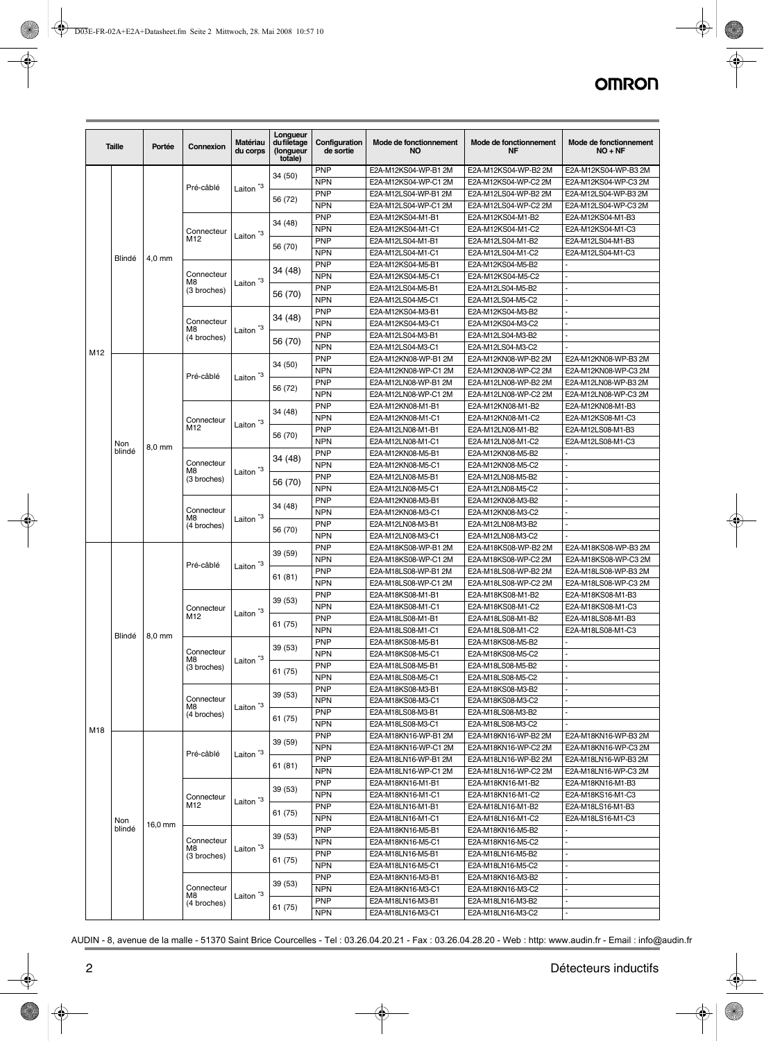| <b>Taille</b> |               | Portée   | Connexion                       | Matériau<br>du corps | Longueur<br>du filetage<br>(longueur<br>totale) | Configuration<br>de sortie | Mode de fonctionnement<br><b>NO</b>          | Mode de fonctionnement<br>NF                 | Mode de fonctionnement<br>$NO + NF$       |
|---------------|---------------|----------|---------------------------------|----------------------|-------------------------------------------------|----------------------------|----------------------------------------------|----------------------------------------------|-------------------------------------------|
|               |               |          |                                 |                      | 34 (50)                                         | <b>PNP</b>                 | E2A-M12KS04-WP-B1 2M                         | E2A-M12KS04-WP-B2 2M                         | E2A-M12KS04-WP-B3 2M                      |
|               |               |          | Pré-câblé                       | Laiton $*3$          |                                                 | <b>NPN</b>                 | E2A-M12KS04-WP-C1 2M                         | E2A-M12KS04-WP-C2 2M                         | E2A-M12KS04-WP-C32M                       |
|               |               |          |                                 |                      | 56 (72)                                         | <b>PNP</b>                 | E2A-M12LS04-WP-B1 2M                         | E2A-M12LS04-WP-B2 2M                         | E2A-M12LS04-WP-B3 2M                      |
|               |               |          |                                 |                      |                                                 | <b>NPN</b>                 | E2A-M12LS04-WP-C1 2M                         | E2A-M12LS04-WP-C2 2M                         | E2A-M12LS04-WP-C3 2M                      |
|               |               |          |                                 |                      | 34 (48)                                         | <b>PNP</b>                 | E2A-M12KS04-M1-B1                            | E2A-M12KS04-M1-B2                            | E2A-M12KS04-M1-B3                         |
|               |               |          | Connecteur                      | Laiton $^{\star 3}$  |                                                 | <b>NPN</b>                 | E2A-M12KS04-M1-C1                            | E2A-M12KS04-M1-C2                            | E2A-M12KS04-M1-C3                         |
|               |               |          | M12                             |                      | 56 (70)                                         | <b>PNP</b>                 | E2A-M12LS04-M1-B1                            | E2A-M12LS04-M1-B2                            | E2A-M12LS04-M1-B3                         |
|               | Blindé        | $4,0$ mm |                                 |                      |                                                 | <b>NPN</b>                 | E2A-M12LS04-M1-C1                            | E2A-M12LS04-M1-C2                            | E2A-M12LS04-M1-C3                         |
|               |               |          |                                 |                      | 34 (48)                                         | <b>PNP</b>                 | E2A-M12KS04-M5-B1                            | E2A-M12KS04-M5-B2                            |                                           |
|               |               |          | Connecteur<br>M8                | Laiton $*3$          |                                                 | <b>NPN</b>                 | E2A-M12KS04-M5-C1                            | E2A-M12KS04-M5-C2                            |                                           |
|               |               |          | (3 broches)                     |                      | 56 (70)                                         | <b>PNP</b>                 | E2A-M12LS04-M5-B1                            | E2A-M12LS04-M5-B2                            | $\ddot{\phantom{1}}$                      |
|               |               |          |                                 |                      |                                                 | <b>NPN</b>                 | E2A-M12LS04-M5-C1                            | E2A-M12LS04-M5-C2                            |                                           |
|               |               |          |                                 |                      | 34 (48)                                         | <b>PNP</b>                 | E2A-M12KS04-M3-B1                            | E2A-M12KS04-M3-B2                            |                                           |
|               |               |          | Connecteur<br>M8                | Laiton $*3$          |                                                 | <b>NPN</b>                 | E2A-M12KS04-M3-C1                            | E2A-M12KS04-M3-C2                            |                                           |
|               |               |          | (4 broches)                     |                      | 56 (70)                                         | <b>PNP</b>                 | E2A-M12LS04-M3-B1                            | E2A-M12LS04-M3-B2                            | $\blacksquare$                            |
| M12           |               |          |                                 |                      |                                                 | <b>NPN</b>                 | E2A-M12LS04-M3-C1                            | E2A-M12LS04-M3-C2                            |                                           |
|               |               |          |                                 |                      | 34 (50)                                         | <b>PNP</b>                 | E2A-M12KN08-WP-B1 2M                         | E2A-M12KN08-WP-B2 2M                         | E2A-M12KN08-WP-B32M                       |
|               |               |          | Pré-câblé                       | Laiton <sup>*3</sup> |                                                 | <b>NPN</b>                 | E2A-M12KN08-WP-C1 2M                         | E2A-M12KN08-WP-C2 2M                         | E2A-M12KN08-WP-C3 2M                      |
|               |               |          |                                 |                      | 56 (72)                                         | <b>PNP</b>                 | E2A-M12LN08-WP-B1 2M                         | E2A-M12LN08-WP-B2 2M                         | E2A-M12LN08-WP-B3 2M                      |
|               |               |          |                                 |                      |                                                 | <b>NPN</b>                 | E2A-M12LN08-WP-C1 2M                         | E2A-M12LN08-WP-C2 2M                         | E2A-M12LN08-WP-C3 2M                      |
|               |               |          |                                 |                      | 34 (48)                                         | <b>PNP</b>                 | E2A-M12KN08-M1-B1                            | E2A-M12KN08-M1-B2                            | E2A-M12KN08-M1-B3                         |
|               |               | 8,0 mm   | Connecteur<br>M12               | Laiton $*3$          |                                                 | <b>NPN</b>                 | E2A-M12KN08-M1-C1                            | E2A-M12KN08-M1-C2                            | E2A-M12KS08-M1-C3                         |
|               |               |          |                                 |                      | 56 (70)                                         | <b>PNP</b>                 | E2A-M12LN08-M1-B1                            | E2A-M12LN08-M1-B2                            | E2A-M12LS08-M1-B3                         |
|               | Non<br>blindé |          |                                 |                      |                                                 | <b>NPN</b>                 | E2A-M12LN08-M1-C1                            | E2A-M12LN08-M1-C2                            | E2A-M12LS08-M1-C3                         |
|               |               |          | Connecteur<br>M8                | Laiton $*3$          | 34 (48)                                         | <b>PNP</b>                 | E2A-M12KN08-M5-B1                            | E2A-M12KN08-M5-B2                            |                                           |
|               |               |          |                                 |                      |                                                 | <b>NPN</b>                 | E2A-M12KN08-M5-C1                            | E2A-M12KN08-M5-C2                            |                                           |
|               |               |          | (3 broches)                     |                      | 56 (70)                                         | <b>PNP</b>                 | E2A-M12LN08-M5-B1                            | E2A-M12LN08-M5-B2                            | $\blacksquare$                            |
|               |               |          |                                 |                      |                                                 | <b>NPN</b>                 | E2A-M12LN08-M5-C1                            | E2A-M12LN08-M5-C2                            |                                           |
|               |               |          | Connecteur                      |                      | 34 (48)                                         | <b>PNP</b>                 | E2A-M12KN08-M3-B1                            | E2A-M12KN08-M3-B2                            |                                           |
|               |               |          | M8                              | Laiton $13$          |                                                 | <b>NPN</b>                 | E2A-M12KN08-M3-C1                            | E2A-M12KN08-M3-C2                            |                                           |
|               |               |          | (4 broches)                     |                      | 56 (70)                                         | <b>PNP</b>                 | E2A-M12LN08-M3-B1                            | E2A-M12LN08-M3-B2                            | $\blacksquare$                            |
|               |               |          |                                 |                      |                                                 | <b>NPN</b>                 | E2A-M12LN08-M3-C1                            | E2A-M12LN08-M3-C2                            |                                           |
|               |               | 8,0 mm   | Pré-câblé                       |                      | 39 (59)                                         | <b>PNP</b>                 | E2A-M18KS08-WP-B1 2M                         | E2A-M18KS08-WP-B2 2M                         | E2A-M18KS08-WP-B3 2M                      |
|               |               |          |                                 | Laiton $^{\star 3}$  | 61 (81)                                         | <b>NPN</b><br><b>PNP</b>   | E2A-M18KS08-WP-C1 2M<br>E2A-M18LS08-WP-B1 2M | E2A-M18KS08-WP-C2 2M<br>E2A-M18LS08-WP-B2 2M | E2A-M18KS08-WP-C3 2M                      |
|               |               |          |                                 |                      |                                                 | <b>NPN</b>                 |                                              | E2A-M18LS08-WP-C2 2M                         | E2A-M18LS08-WP-B3 2M                      |
|               |               |          |                                 |                      |                                                 | <b>PNP</b>                 | E2A-M18LS08-WP-C1 2M<br>E2A-M18KS08-M1-B1    | E2A-M18KS08-M1-B2                            | E2A-M18LS08-WP-C3 2M<br>E2A-M18KS08-M1-B3 |
|               |               |          |                                 | Laiton $^{\star 3}$  | 39 (53)                                         | <b>NPN</b>                 | E2A-M18KS08-M1-C1                            | E2A-M18KS08-M1-C2                            | E2A-M18KS08-M1-C3                         |
|               |               |          | Connecteur<br>M12               |                      |                                                 | <b>PNP</b>                 | E2A-M18LS08-M1-B1                            | E2A-M18LS08-M1-B2                            | E2A-M18LS08-M1-B3                         |
|               |               |          |                                 |                      | 61 (75)                                         | <b>NPN</b>                 | E2A-M18LS08-M1-C1                            | E2A-M18LS08-M1-C2                            | E2A-M18LS08-M1-C3                         |
|               | Blindé        |          |                                 |                      |                                                 | <b>PNP</b>                 | E2A-M18KS08-M5-B1                            | E2A-M18KS08-M5-B2                            |                                           |
|               |               |          | Connecteur<br>M8<br>(3 broches) | Laiton $^{\star 3}$  | 39 (53)                                         | <b>NPN</b>                 | E2A-M18KS08-M5-C1                            | E2A-M18KS08-M5-C2                            |                                           |
|               |               |          |                                 |                      |                                                 | <b>PNP</b>                 | E2A-M18LS08-M5-B1                            | E2A-M18LS08-M5-B2                            | $\blacksquare$                            |
|               |               |          |                                 |                      | 61 (75)                                         | <b>NPN</b>                 | E2A-M18LS08-M5-C1                            | E2A-M18LS08-M5-C2                            |                                           |
|               |               |          |                                 |                      |                                                 | <b>PNP</b>                 | E2A-M18KS08-M3-B1                            | E2A-M18KS08-M3-B2                            | $\blacksquare$                            |
|               |               |          | Connecteur<br>M8                | Laiton $^{\star 3}$  | 39 (53)                                         | <b>NPN</b>                 | E2A-M18KS08-M3-C1                            | E2A-M18KS08-M3-C2                            |                                           |
|               |               |          |                                 |                      |                                                 | <b>PNP</b>                 | E2A-M18LS08-M3-B1                            | E2A-M18LS08-M3-B2                            | $\blacksquare$                            |
|               |               |          | (4 broches)                     |                      | 61 (75)                                         | <b>NPN</b>                 | E2A-M18LS08-M3-C1                            | E2A-M18LS08-M3-C2                            |                                           |
| M18           |               |          |                                 |                      |                                                 | <b>PNP</b>                 | E2A-M18KN16-WP-B1 2M                         | E2A-M18KN16-WP-B2 2M                         | E2A-M18KN16-WP-B32M                       |
|               |               |          |                                 |                      | 39 (59)                                         | <b>NPN</b>                 | E2A-M18KN16-WP-C1 2M                         | E2A-M18KN16-WP-C2 2M                         | E2A-M18KN16-WP-C3 2M                      |
|               |               |          | Pré-câblé                       | Laiton $*3$          |                                                 | <b>PNP</b>                 | E2A-M18LN16-WP-B1 2M                         | E2A-M18LN16-WP-B2 2M                         | E2A-M18LN16-WP-B3 2M                      |
|               |               |          |                                 |                      | 61 (81)                                         | <b>NPN</b>                 | E2A-M18LN16-WP-C1 2M                         | E2A-M18LN16-WP-C2 2M                         | E2A-M18LN16-WP-C3 2M                      |
|               |               |          |                                 |                      |                                                 | <b>PNP</b>                 | E2A-M18KN16-M1-B1                            | E2A-M18KN16-M1-B2                            | E2A-M18KN16-M1-B3                         |
|               |               |          |                                 |                      | 39 (53)                                         | <b>NPN</b>                 | E2A-M18KN16-M1-C1                            | E2A-M18KN16-M1-C2                            | E2A-M18KS16-M1-C3                         |
|               |               |          | Connecteur<br>M12               | Laiton $^{\star 3}$  |                                                 | <b>PNP</b>                 | E2A-M18LN16-M1-B1                            | E2A-M18LN16-M1-B2                            | E2A-M18LS16-M1-B3                         |
|               | Non           |          |                                 |                      | 61 (75)                                         | <b>NPN</b>                 | E2A-M18LN16-M1-C1                            | E2A-M18LN16-M1-C2                            | E2A-M18LS16-M1-C3                         |
|               | blindé        | 16,0 mm  |                                 |                      |                                                 | <b>PNP</b>                 | E2A-M18KN16-M5-B1                            | E2A-M18KN16-M5-B2                            |                                           |
|               |               |          | Connecteur                      |                      | 39 (53)                                         | <b>NPN</b>                 | E2A-M18KN16-M5-C1                            | E2A-M18KN16-M5-C2                            |                                           |
|               |               |          | M8<br>(3 broches)               | Laiton $^{\star 3}$  |                                                 | <b>PNP</b>                 | E2A-M18LN16-M5-B1                            | E2A-M18LN16-M5-B2                            | $\overline{\phantom{a}}$                  |
|               |               |          |                                 |                      | 61 (75)                                         | <b>NPN</b>                 | E2A-M18LN16-M5-C1                            | E2A-M18LN16-M5-C2                            |                                           |
|               |               |          |                                 |                      |                                                 | <b>PNP</b>                 | E2A-M18KN16-M3-B1                            | E2A-M18KN16-M3-B2                            | $\blacksquare$                            |
|               |               |          | Connecteur                      |                      | 39 (53)                                         | <b>NPN</b>                 | E2A-M18KN16-M3-C1                            | E2A-M18KN16-M3-C2                            |                                           |
|               |               |          | M8<br>(4 broches)               | Laiton $^{\star 3}$  |                                                 | <b>PNP</b>                 | E2A-M18LN16-M3-B1                            | E2A-M18LN16-M3-B2                            | $\blacksquare$                            |
|               |               |          |                                 |                      | 61 (75)                                         | <b>NPN</b>                 | E2A-M18LN16-M3-C1                            | E2A-M18LN16-M3-C2                            |                                           |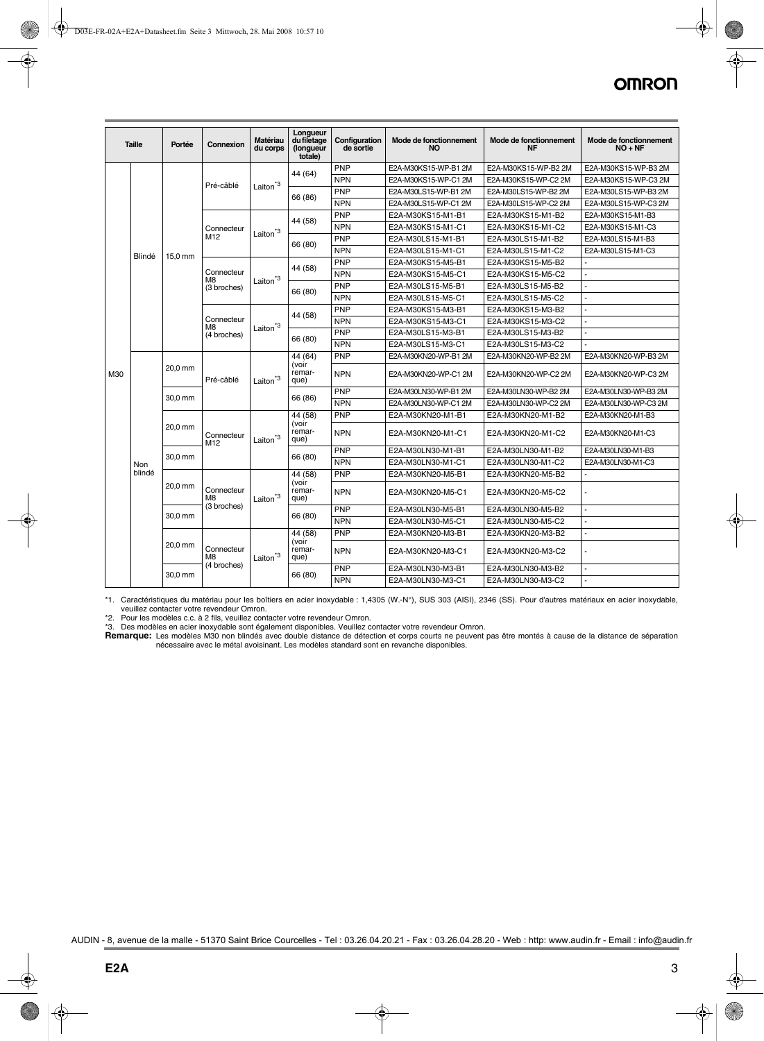| <b>Taille</b> |            | Portée  | Connexion                                   | Matériau<br>du corps     | Longueur<br>du filetage<br>(longueur<br>totale) | Configuration<br>de sortie | Mode de fonctionnement<br><b>NO</b> | Mode de fonctionnement<br><b>NF</b> | Mode de fonctionnement<br>$NO + NF$ |
|---------------|------------|---------|---------------------------------------------|--------------------------|-------------------------------------------------|----------------------------|-------------------------------------|-------------------------------------|-------------------------------------|
|               |            |         |                                             |                          | 44 (64)                                         | <b>PNP</b>                 | E2A-M30KS15-WP-B1 2M                | E2A-M30KS15-WP-B2 2M                | E2A-M30KS15-WP-B3 2M                |
|               |            |         | Pré-câblé                                   |                          |                                                 | <b>NPN</b>                 | E2A-M30KS15-WP-C1 2M                | E2A-M30KS15-WP-C2 2M                | E2A-M30KS15-WP-C3 2M                |
|               |            |         |                                             | Laiton $^{\star 3}$      | 66 (86)                                         | PNP                        | E2A-M30LS15-WP-B1 2M                | E2A-M30LS15-WP-B2 2M                | E2A-M30LS15-WP-B3 2M                |
|               |            |         |                                             |                          |                                                 | <b>NPN</b>                 | E2A-M30LS15-WP-C1 2M                | E2A-M30LS15-WP-C2 2M                | E2A-M30LS15-WP-C3 2M                |
|               |            |         |                                             |                          | 44 (58)                                         | <b>PNP</b>                 | E2A-M30KS15-M1-B1                   | E2A-M30KS15-M1-B2                   | E2A-M30KS15-M1-B3                   |
|               |            |         | Connecteur                                  |                          |                                                 | <b>NPN</b>                 | E2A-M30KS15-M1-C1                   | E2A-M30KS15-M1-C2                   | E2A-M30KS15-M1-C3                   |
|               |            |         | M12                                         | Laiton $^*$ <sup>3</sup> | 66 (80)                                         | PNP                        | E2A-M30LS15-M1-B1                   | E2A-M30LS15-M1-B2                   | E2A-M30LS15-M1-B3                   |
|               |            |         |                                             |                          |                                                 | <b>NPN</b>                 | E2A-M30LS15-M1-C1                   | E2A-M30LS15-M1-C2                   | E2A-M30LS15-M1-C3                   |
|               | Blindé     | 15.0 mm |                                             |                          |                                                 | PNP                        | E2A-M30KS15-M5-B1                   | E2A-M30KS15-M5-B2                   |                                     |
|               |            |         | Connecteur                                  |                          | 44 (58)                                         | <b>NPN</b>                 | E2A-M30KS15-M5-C1                   | E2A-M30KS15-M5-C2                   |                                     |
|               |            |         | M <sub>8</sub><br>(3 broches)               | Laiton $^*$ 3            | 66 (80)                                         | PNP                        | E2A-M30LS15-M5-B1                   | E2A-M30LS15-M5-B2                   | $\overline{a}$                      |
|               |            |         |                                             |                          |                                                 | <b>NPN</b>                 | E2A-M30LS15-M5-C1                   | E2A-M30LS15-M5-C2                   | $\ddot{\phantom{1}}$                |
|               |            |         | Connecteur<br>M <sub>8</sub><br>(4 broches) | Laiton $^*$ <sup>3</sup> | 44 (58)                                         | PNP                        | E2A-M30KS15-M3-B1                   | E2A-M30KS15-M3-B2                   |                                     |
|               |            |         |                                             |                          |                                                 | <b>NPN</b>                 | E2A-M30KS15-M3-C1                   | E2A-M30KS15-M3-C2                   |                                     |
|               |            |         |                                             |                          | 66 (80)                                         | <b>PNP</b>                 | E2A-M30LS15-M3-B1                   | E2A-M30LS15-M3-B2                   |                                     |
|               |            |         |                                             |                          |                                                 | <b>NPN</b>                 | E2A-M30LS15-M3-C1                   | E2A-M30LS15-M3-C2                   |                                     |
|               |            | 20,0 mm | Pré-câblé                                   | Laiton $*3$              | 44 (64)<br>(voir<br>remar-<br>que)              | PNP                        | E2A-M30KN20-WP-B1 2M                | E2A-M30KN20-WP-B2 2M                | E2A-M30KN20-WP-B3 2M                |
| M30           |            |         |                                             |                          |                                                 | <b>NPN</b>                 | E2A-M30KN20-WP-C1 2M                | E2A-M30KN20-WP-C2 2M                | E2A-M30KN20-WP-C3 2M                |
|               |            | 30.0 mm |                                             |                          | 66 (86)                                         | PNP                        | E2A-M30LN30-WP-B1 2M                | E2A-M30LN30-WP-B2 2M                | E2A-M30LN30-WP-B3 2M                |
|               |            |         |                                             |                          |                                                 | <b>NPN</b>                 | E2A-M30LN30-WP-C1 2M                | E2A-M30LN30-WP-C2 2M                | E2A-M30LN30-WP-C3 2M                |
|               |            | 20,0 mm | Connecteur<br>M12                           | Laiton <sup>*3</sup>     | 44 (58)                                         | PNP                        | E2A-M30KN20-M1-B1                   | E2A-M30KN20-M1-B2                   | E2A-M30KN20-M1-B3                   |
|               |            |         |                                             |                          | (voir<br>remar-<br>que)                         | <b>NPN</b>                 | E2A-M30KN20-M1-C1                   | E2A-M30KN20-M1-C2                   | E2A-M30KN20-M1-C3                   |
|               |            | 30,0 mm |                                             |                          | 66 (80)                                         | PNP                        | E2A-M30LN30-M1-B1                   | E2A-M30LN30-M1-B2                   | E2A-M30LN30-M1-B3                   |
|               | <b>Non</b> |         |                                             |                          |                                                 | <b>NPN</b>                 | E2A-M30LN30-M1-C1                   | E2A-M30LN30-M1-C2                   | E2A-M30LN30-M1-C3                   |
|               | blindé     |         |                                             |                          | 44 (58)                                         | PNP                        | E2A-M30KN20-M5-B1                   | E2A-M30KN20-M5-B2                   |                                     |
|               |            | 20,0 mm | Connecteur<br>M <sub>8</sub>                | Laiton $^*$ <sup>3</sup> | (voir<br>remar-<br>que)                         | <b>NPN</b>                 | E2A-M30KN20-M5-C1                   | E2A-M30KN20-M5-C2                   |                                     |
|               |            |         | (3 broches)                                 |                          |                                                 | PNP                        | E2A-M30LN30-M5-B1                   | E2A-M30LN30-M5-B2                   |                                     |
|               |            | 30,0 mm |                                             |                          | 66 (80)                                         | <b>NPN</b>                 | E2A-M30LN30-M5-C1                   | E2A-M30LN30-M5-C2                   |                                     |
|               |            |         |                                             |                          | 44 (58)                                         | PNP                        | E2A-M30KN20-M3-B1                   | E2A-M30KN20-M3-B2                   |                                     |
|               |            | 20,0 mm | Connecteur<br>M <sub>8</sub>                | Laiton $^*$ 3            | (voir<br>remar-<br>que)                         | <b>NPN</b>                 | E2A-M30KN20-M3-C1                   | E2A-M30KN20-M3-C2                   |                                     |
|               |            | 30.0 mm | (4 broches)                                 |                          | 66 (80)                                         | PNP                        | E2A-M30LN30-M3-B1                   | E2A-M30LN30-M3-B2                   |                                     |
|               |            |         |                                             |                          |                                                 | <b>NPN</b>                 | E2A-M30LN30-M3-C1                   | E2A-M30LN30-M3-C2                   |                                     |

\*1. Caractéristiques du matériau pour les boîtiers en acier inoxydable : 1,4305 (W.-N°), SUS 303 (AISI), 2346 (SS). Pour d'autres matériaux en acier inoxydable, veuillez contacter votre revendeur Omron.

\*2. Pour les modèles c.c. à 2 fils, veuillez contacter votre revendeur Omron.

\*3. Des modèles en acier inoxydable sont également disponibles. Veuillez contacter votre revendeur Omron.

Remarque: Les modèles M30 non blindés avec double distance de détection et corps courts ne peuvent pas être montés à cause de la distance de séparation<br>nécessaire avec le métal avoisinant. Les modèles standard sont en reva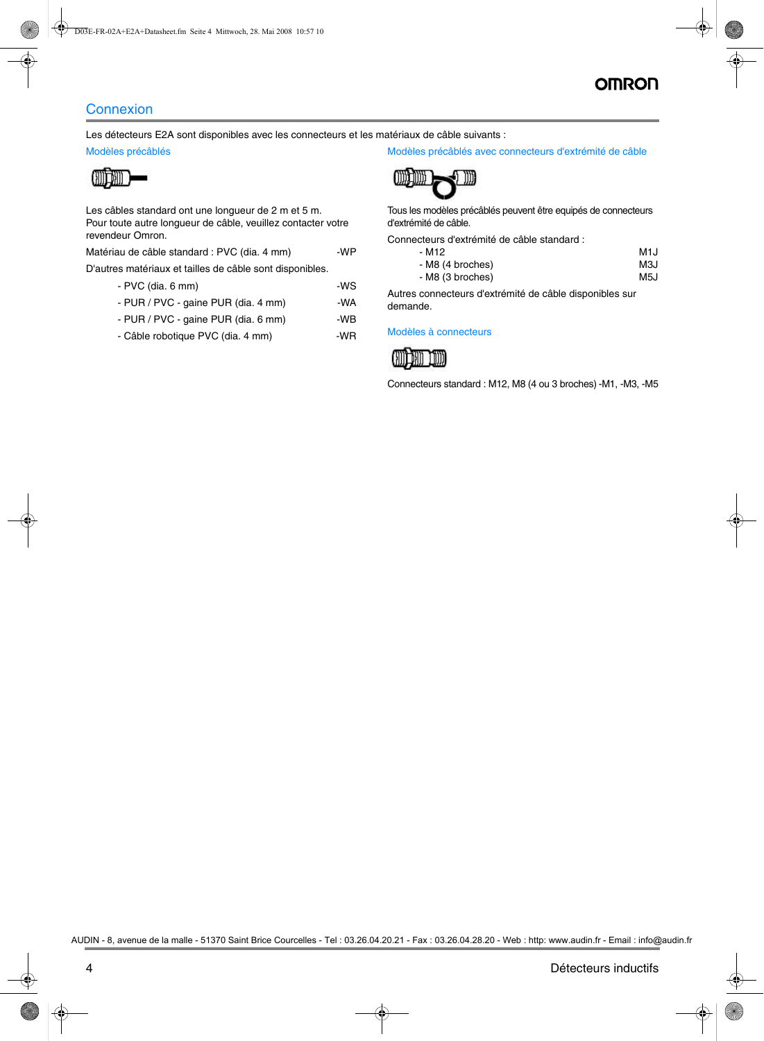## **Connexion**

Les détecteurs E2A sont disponibles avec les connecteurs et les matériaux de câble suivants :

### Modèles précâblés



Les câbles standard ont une longueur de 2 m et 5 m. Pour toute autre longueur de câble, veuillez contacter votre revendeur Omron.

| Matériau de câble standard : PVC (dia. 4 mm) | -WP |
|----------------------------------------------|-----|
|----------------------------------------------|-----|

D'autres matériaux et tailles de câble sont disponibles.

- PVC (dia. 6 mm) WS
- PUR / PVC gaine PUR (dia. 4 mm) -WA
- PUR / PVC gaine PUR (dia. 6 mm) -WB
- Câble robotique PVC (dia. 4 mm) -WR

Modèles précâblés avec connecteurs d'extrémité de câble



Tous les modèles précâblés peuvent être equipés de connecteurs d'extrémité de câble.

Connecteurs d'extrémité de câble standard :

| - M12            | M1J |
|------------------|-----|
| - M8 (4 broches) | MЗJ |
| - M8 (3 broches) | M5J |

Autres connecteurs d'extrémité de câble disponibles sur demande.

Modèles à connecteurs



Connecteurs standard : M12, M8 (4 ou 3 broches) -M1, -M3, -M5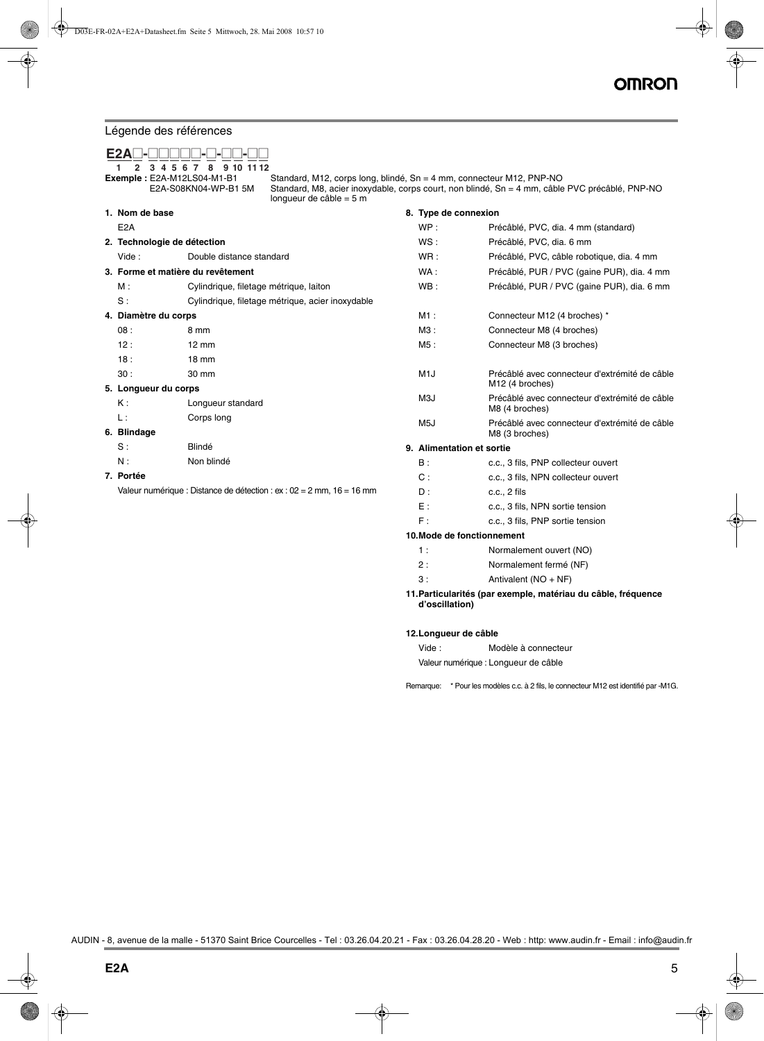### Légende des références

| E2A                                  |                                         |                                                                                                   |                           |                                                                                                |
|--------------------------------------|-----------------------------------------|---------------------------------------------------------------------------------------------------|---------------------------|------------------------------------------------------------------------------------------------|
| 5<br>6<br>Exemple: E2A-M12LS04-M1-B1 | 9 10 11 12<br>8<br>E2A-S08KN04-WP-B1 5M | Standard, M12, corps long, blindé, Sn = 4 mm, connecteur M12, PNP-NO<br>lonqueur de câble = $5 m$ |                           | Standard, M8, acier inoxydable, corps court, non blindé, Sn = 4 mm, câble PVC précâblé, PNP-NO |
| 1. Nom de base                       |                                         |                                                                                                   | 8. Type de connexion      |                                                                                                |
| E <sub>2</sub> A                     |                                         |                                                                                                   | WP:                       | Précâblé, PVC, dia. 4 mm (standard)                                                            |
| 2. Technologie de détection          |                                         |                                                                                                   | WS:                       | Précâblé, PVC, dia. 6 mm                                                                       |
| Vide:                                | Double distance standard                |                                                                                                   | WR:                       | Précâblé, PVC, câble robotique, dia. 4 mm                                                      |
|                                      | 3. Forme et matière du revêtement       |                                                                                                   | WA:                       | Précâblé, PUR / PVC (gaine PUR), dia. 4 mm                                                     |
| M:                                   | Cylindrique, filetage métrique, laiton  |                                                                                                   | WB:                       | Précâblé, PUR / PVC (gaine PUR), dia. 6 mm                                                     |
| S:                                   |                                         | Cylindrique, filetage métrique, acier inoxydable                                                  |                           |                                                                                                |
| 4. Diamètre du corps                 |                                         |                                                                                                   | $M1$ :                    | Connecteur M12 (4 broches) *                                                                   |
| 08:                                  | 8 mm                                    |                                                                                                   | M3 :                      | Connecteur M8 (4 broches)                                                                      |
| 12:                                  | $12 \text{ mm}$                         |                                                                                                   | M5:                       | Connecteur M8 (3 broches)                                                                      |
| 18:                                  | $18 \text{ mm}$                         |                                                                                                   |                           |                                                                                                |
| 30:                                  | 30 mm                                   |                                                                                                   | M <sub>1</sub> J          | Précâblé avec connecteur d'extrémité de câble                                                  |
| 5. Longueur du corps                 |                                         |                                                                                                   |                           | M <sub>12</sub> (4 broches)                                                                    |
| Κ:                                   | Longueur standard                       |                                                                                                   | M3J                       | Précâblé avec connecteur d'extrémité de câble<br>M8 (4 broches)                                |
| $\mathsf{L}$ :                       | Corps long                              |                                                                                                   | M <sub>5</sub> J          | Précâblé avec connecteur d'extrémité de câble                                                  |
| 6. Blindage                          |                                         |                                                                                                   |                           | M8 (3 broches)                                                                                 |
| S:                                   | Blindé                                  |                                                                                                   | 9. Alimentation et sortie |                                                                                                |
| N:                                   | Non blindé                              |                                                                                                   | $B$ :                     | c.c., 3 fils, PNP collecteur ouvert                                                            |
| 7. Portée                            |                                         |                                                                                                   | C:                        | c.c., 3 fils, NPN collecteur ouvert                                                            |
|                                      |                                         | Valeur numérique : Distance de détection : $ex : 02 = 2$ mm, $16 = 16$ mm                         | D:                        | $c.c., 2$ fils                                                                                 |
|                                      |                                         |                                                                                                   | $E$ :                     | c.c., 3 fils, NPN sortie tension                                                               |
|                                      |                                         |                                                                                                   | $F$ :                     | c.c., 3 fils, PNP sortie tension                                                               |
|                                      |                                         |                                                                                                   |                           |                                                                                                |

#### **10.Mode de fonctionnement**

| 2: | Normalement fermé (NF) |
|----|------------------------|
|----|------------------------|

3 : Antivalent (NO + NF)

**11.Particularités (par exemple, matériau du câble, fréquence d'oscillation)**

#### **12.Longueur de câble**

| Vide : | Modèle à connecteur                  |
|--------|--------------------------------------|
|        | Valeur numérique : Longueur de câble |

Remarque: \* Pour les modèles c.c. à 2 fils, le connecteur M12 est identifié par -M1G.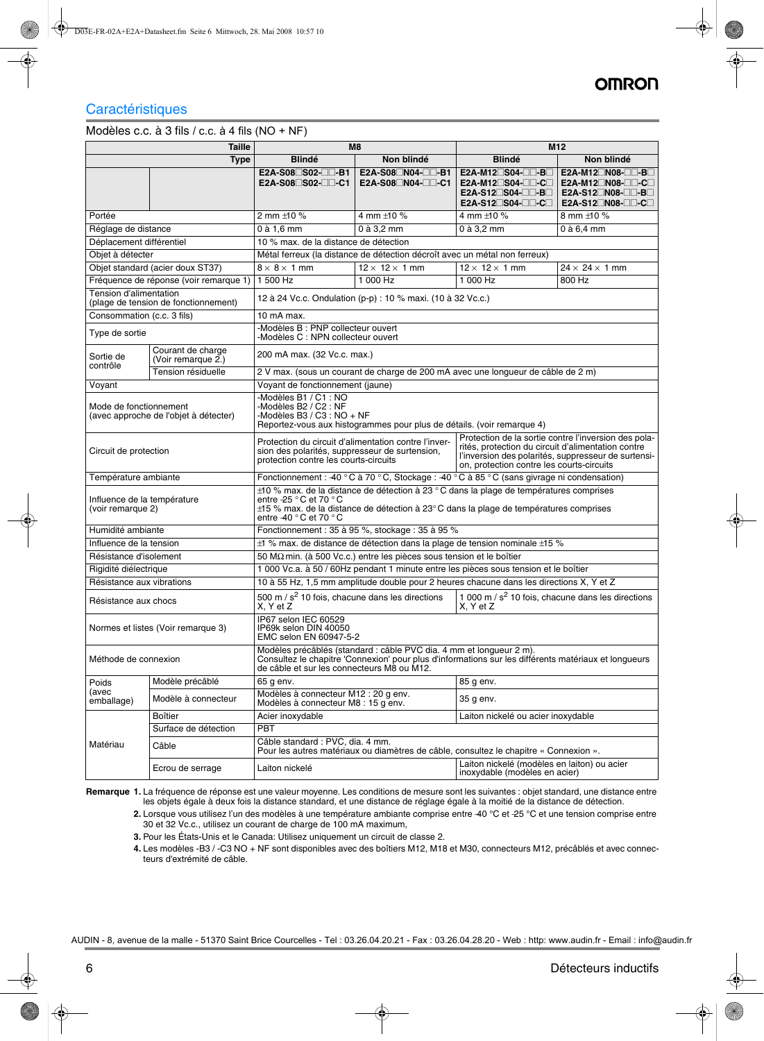## **Caractéristiques**

### Modèles c.c. à 3 fils / c.c. à 4 fils (NO + NF)

|                                                  | <b>Taille</b>                           | M8                                                                                                                                                                                                                                                                                                                                                                |                                                                                           | M <sub>12</sub>                                                                                            |                                                                                  |  |  |  |
|--------------------------------------------------|-----------------------------------------|-------------------------------------------------------------------------------------------------------------------------------------------------------------------------------------------------------------------------------------------------------------------------------------------------------------------------------------------------------------------|-------------------------------------------------------------------------------------------|------------------------------------------------------------------------------------------------------------|----------------------------------------------------------------------------------|--|--|--|
|                                                  | <b>Type</b>                             | <b>Blindé</b>                                                                                                                                                                                                                                                                                                                                                     | Non blindé                                                                                | <b>Blindé</b>                                                                                              | Non blindé                                                                       |  |  |  |
|                                                  |                                         | E2A-S08□S02-□□-B1<br>E2A-S08□S02-□□-C1                                                                                                                                                                                                                                                                                                                            | E2A-S08□N04-□□-B1<br>E2A-S08□N04-□□-C1                                                    | E2A-M12□S04-□□-B□<br>$E2A-M12 \square SO4 - \square - C \square$<br>E2A-S12□S04-□□-B□<br>E2A-S12□S04-□□-C□ | E2A-M12□N08-□□-B□<br>E2A-M12□N08-□□-C□<br>E2A-S12□N08-□□-B□<br>E2A-S12□N08-□□-C□ |  |  |  |
| Portée                                           |                                         | 2 mm ±10 %                                                                                                                                                                                                                                                                                                                                                        | 4 mm ±10 %                                                                                | 4 mm ±10 %                                                                                                 | 8 mm ±10 %                                                                       |  |  |  |
| Réglage de distance                              |                                         | $0$ à 1,6 mm                                                                                                                                                                                                                                                                                                                                                      | 0 à 3,2 mm                                                                                | 0 à 3,2 mm                                                                                                 | 0 à 6,4 mm                                                                       |  |  |  |
| Déplacement différentiel                         |                                         | 10 % max, de la distance de détection                                                                                                                                                                                                                                                                                                                             |                                                                                           |                                                                                                            |                                                                                  |  |  |  |
| Objet à détecter                                 |                                         |                                                                                                                                                                                                                                                                                                                                                                   | Métal ferreux (la distance de détection décroît avec un métal non ferreux)                |                                                                                                            |                                                                                  |  |  |  |
|                                                  | Objet standard (acier doux ST37)        | $8 \times 8 \times 1$ mm                                                                                                                                                                                                                                                                                                                                          | $12 \times 12 \times 1$ mm                                                                | $12 \times 12 \times 1$ mm                                                                                 | $24 \times 24 \times 1$ mm                                                       |  |  |  |
|                                                  | Fréquence de réponse (voir remarque 1)  | 1 500 Hz                                                                                                                                                                                                                                                                                                                                                          | 1 000 Hz                                                                                  | 1 000 Hz<br>800 Hz                                                                                         |                                                                                  |  |  |  |
| Tension d'alimentation                           | (plage de tension de fonctionnement)    |                                                                                                                                                                                                                                                                                                                                                                   | 12 à 24 Vc.c. Ondulation (p-p) : 10 % maxi. (10 à 32 Vc.c.)                               |                                                                                                            |                                                                                  |  |  |  |
| Consommation (c.c. 3 fils)                       |                                         | 10 mA max.                                                                                                                                                                                                                                                                                                                                                        |                                                                                           |                                                                                                            |                                                                                  |  |  |  |
| Type de sortie                                   |                                         | -Modèles B : PNP collecteur ouvert<br>-Modèles C : NPN collecteur ouvert                                                                                                                                                                                                                                                                                          |                                                                                           |                                                                                                            |                                                                                  |  |  |  |
| Sortie de<br>contrôle                            | Courant de charge<br>(Voir remarque 2.) | 200 mA max. (32 Vc.c. max.)                                                                                                                                                                                                                                                                                                                                       |                                                                                           |                                                                                                            |                                                                                  |  |  |  |
|                                                  | Tension résiduelle                      |                                                                                                                                                                                                                                                                                                                                                                   | 2 V max. (sous un courant de charge de 200 mA avec une longueur de câble de 2 m)          |                                                                                                            |                                                                                  |  |  |  |
| Voyant                                           |                                         | Voyant de fonctionnement (jaune)                                                                                                                                                                                                                                                                                                                                  |                                                                                           |                                                                                                            |                                                                                  |  |  |  |
| Mode de fonctionnement                           | (avec approche de l'objet à détecter)   | -Modèles B1 / C1: NO<br>-Modèles B2 / C2 : NF<br>-Modèles B3 / C3 : NO + NF<br>Reportez-vous aux histogrammes pour plus de détails. (voir remarque 4)                                                                                                                                                                                                             |                                                                                           |                                                                                                            |                                                                                  |  |  |  |
| Circuit de protection                            |                                         | Protection de la sortie contre l'inversion des pola-<br>Protection du circuit d'alimentation contre l'inver-<br>rités, protection du circuit d'alimentation contre<br>sion des polarités, suppresseur de surtension,<br>l'inversion des polarités, suppresseur de surtensi-<br>protection contre les courts-circuits<br>on, protection contre les courts-circuits |                                                                                           |                                                                                                            |                                                                                  |  |  |  |
| Température ambiante                             |                                         |                                                                                                                                                                                                                                                                                                                                                                   | Fonctionnement : -40 °C à 70 °C, Stockage : -40 °C à 85 °C (sans givrage ni condensation) |                                                                                                            |                                                                                  |  |  |  |
| Influence de la température<br>(voir remarque 2) |                                         | $\pm$ 10 % max. de la distance de détection à 23 °C dans la plage de températures comprises<br>entre -25 °C et 70 °C<br>$\pm$ 15 % max. de la distance de détection à 23 $^{\circ}$ C dans la plage de températures comprises<br>entre -40 °C et 70 °C                                                                                                            |                                                                                           |                                                                                                            |                                                                                  |  |  |  |
| Humidité ambiante                                |                                         | Fonctionnement : 35 à 95 %, stockage : 35 à 95 %                                                                                                                                                                                                                                                                                                                  |                                                                                           |                                                                                                            |                                                                                  |  |  |  |
| Influence de la tension                          |                                         | ±1 % max. de distance de détection dans la plage de tension nominale ±15 %                                                                                                                                                                                                                                                                                        |                                                                                           |                                                                                                            |                                                                                  |  |  |  |
| Résistance d'isolement                           |                                         | 50 MΩ min. (à 500 Vc.c.) entre les pièces sous tension et le boîtier                                                                                                                                                                                                                                                                                              |                                                                                           |                                                                                                            |                                                                                  |  |  |  |
| Rigidité diélectrique                            |                                         | 1 000 Vc.a. à 50 / 60Hz pendant 1 minute entre les pièces sous tension et le boîtier                                                                                                                                                                                                                                                                              |                                                                                           |                                                                                                            |                                                                                  |  |  |  |
| Résistance aux vibrations                        |                                         | 10 à 55 Hz, 1,5 mm amplitude double pour 2 heures chacune dans les directions X, Y et Z                                                                                                                                                                                                                                                                           |                                                                                           |                                                                                                            |                                                                                  |  |  |  |
| Résistance aux chocs                             |                                         | 500 m $/s2$ 10 fois, chacune dans les directions<br>X, Y et Z                                                                                                                                                                                                                                                                                                     |                                                                                           | 1 000 m $/s2$ 10 fois, chacune dans les directions<br>X, Y et Z                                            |                                                                                  |  |  |  |
|                                                  | Normes et listes (Voir remarque 3)      | IP67 selon IEC 60529<br>IP69k selon DIN 40050<br>EMC selon EN 60947-5-2                                                                                                                                                                                                                                                                                           |                                                                                           |                                                                                                            |                                                                                  |  |  |  |
| Méthode de connexion                             |                                         | Modèles précâblés (standard : câble PVC dia. 4 mm et longueur 2 m).<br>Consultez le chapitre 'Connexion' pour plus d'informations sur les différents matériaux et longueurs<br>de câble et sur les connecteurs M8 ou M12.                                                                                                                                         |                                                                                           |                                                                                                            |                                                                                  |  |  |  |
| Poids                                            | Modèle précâblé                         | 65 g env.                                                                                                                                                                                                                                                                                                                                                         |                                                                                           | 85 g env.                                                                                                  |                                                                                  |  |  |  |
| (avec<br>emballage)                              | Modèle à connecteur                     | Modèles à connecteur M12 : 20 g env.<br>Modèles à connecteur M8 : 15 g env.                                                                                                                                                                                                                                                                                       |                                                                                           | 35 g env.                                                                                                  |                                                                                  |  |  |  |
|                                                  | Boîtier                                 | Acier inoxydable                                                                                                                                                                                                                                                                                                                                                  |                                                                                           | Laiton nickelé ou acier inoxydable                                                                         |                                                                                  |  |  |  |
|                                                  | Surface de détection                    | <b>PBT</b>                                                                                                                                                                                                                                                                                                                                                        |                                                                                           |                                                                                                            |                                                                                  |  |  |  |
| Matériau                                         | Câble                                   | Câble standard : PVC, dia. 4 mm.                                                                                                                                                                                                                                                                                                                                  | Pour les autres matériaux ou diamètres de câble, consultez le chapitre « Connexion ».     |                                                                                                            |                                                                                  |  |  |  |
|                                                  | Ecrou de serrage                        | Laiton nickelé                                                                                                                                                                                                                                                                                                                                                    |                                                                                           | Laiton nickelé (modèles en laiton) ou acier<br>inoxydable (modèles en acier)                               |                                                                                  |  |  |  |

**Remarque 1.** La fréquence de réponse est une valeur moyenne. Les conditions de mesure sont les suivantes : objet standard, une distance entre les objets égale à deux fois la distance standard, et une distance de réglage égale à la moitié de la distance de détection.

**2.** Lorsque vous utilisez l'un des modèles à une température ambiante comprise entre −40 °C et −25 °C et une tension comprise entre 30 et 32 Vc.c., utilisez un courant de charge de 100 mA maximum,

**3.** Pour les États-Unis et le Canada: Utilisez uniquement un circuit de classe 2.

**4.** Les modèles -B3 / -C3 NO + NF sont disponibles avec des boîtiers M12, M18 et M30, connecteurs M12, précâblés et avec connecteurs d'extrémité de câble.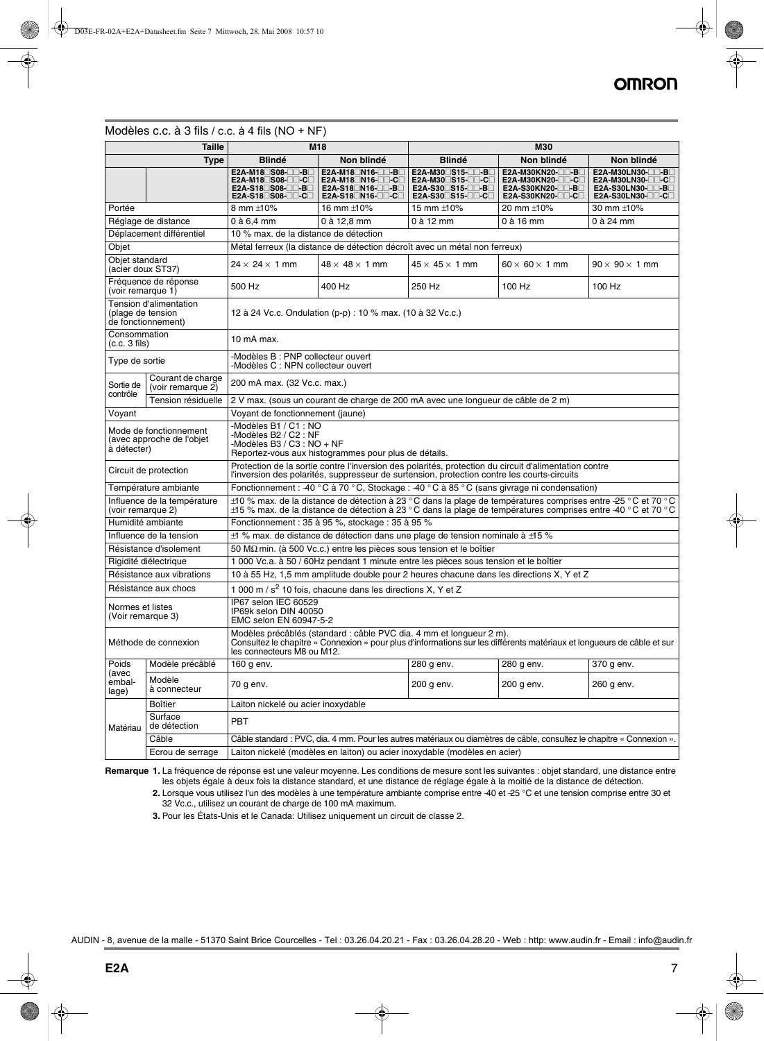## Modèles c.c. à 3 fils / c.c. à 4 fils (NO + NF)

|                                       | <b>Taille</b>                                       |                                                                                                                                                                                                                                        | M <sub>18</sub>                                                                                                        | <b>M30</b>                                                                       |                                                                                  |                                                                                  |  |  |  |
|---------------------------------------|-----------------------------------------------------|----------------------------------------------------------------------------------------------------------------------------------------------------------------------------------------------------------------------------------------|------------------------------------------------------------------------------------------------------------------------|----------------------------------------------------------------------------------|----------------------------------------------------------------------------------|----------------------------------------------------------------------------------|--|--|--|
|                                       | <b>Type</b>                                         | <b>Blindé</b>                                                                                                                                                                                                                          | Non blindé                                                                                                             | <b>Blindé</b>                                                                    | Non blindé                                                                       | Non blindé                                                                       |  |  |  |
|                                       |                                                     | E2A-M18□S08-□□-B□<br>E2A-M18 S08- D-C<br>E2A-S18□S08-□□-B□<br>E2A-S18□S08-□□-C□                                                                                                                                                        | E2A-M18□N16-□□-B□<br>E2A-M18□N16-□□-C□<br>E2A-S18□N16-□□-B□<br>E2A-S18□N16-□□-C□                                       | E2A-M30□S15-□□-B□<br>E2A-M30□S15-□□-C□<br>E2A-S30□S15-□□-B□<br>E2A-S30□S15-□□-C□ | E2A-M30KN20-□□-B□<br>E2A-M30KN20-□□-C□<br>E2A-S30KN20-□□-B□<br>E2A-S30KN20-□□-C□ | E2A-M30LN30-□□-B□<br>E2A-M30LN30-□□-C□<br>E2A-S30LN30-□□-B□<br>E2A-S30LN30-□□-C□ |  |  |  |
| Portée                                |                                                     | 8 mm ±10%                                                                                                                                                                                                                              | 16 mm ±10%                                                                                                             | 15 mm ±10%                                                                       | 20 mm ±10%                                                                       | 30 mm ±10%                                                                       |  |  |  |
|                                       | Réglage de distance                                 | $0$ à 6.4 mm                                                                                                                                                                                                                           | 0 à 12,8 mm                                                                                                            | 0 à 12 mm                                                                        | 0 à 16 mm                                                                        | 0 à 24 mm                                                                        |  |  |  |
|                                       | Déplacement différentiel                            | 10 % max, de la distance de détection                                                                                                                                                                                                  |                                                                                                                        |                                                                                  |                                                                                  |                                                                                  |  |  |  |
| Objet                                 |                                                     |                                                                                                                                                                                                                                        | Métal ferreux (la distance de détection décroît avec un métal non ferreux)                                             |                                                                                  |                                                                                  |                                                                                  |  |  |  |
| Obiet standard<br>(acier doux ST37)   |                                                     | $24 \times 24 \times 1$ mm                                                                                                                                                                                                             | $48 \times 48 \times 1$ mm                                                                                             | $45 \times 45 \times 1$ mm                                                       | $60 \times 60 \times 1$ mm                                                       | $90 \times 90 \times 1$ mm                                                       |  |  |  |
| (voir remarque 1)                     | Fréquence de réponse                                | 500 Hz                                                                                                                                                                                                                                 | 400 Hz                                                                                                                 | 250 Hz                                                                           | 100 Hz                                                                           | 100 Hz                                                                           |  |  |  |
| (plage de tension                     | Tension d'alimentation<br>de fonctionnement)        |                                                                                                                                                                                                                                        | 12 à 24 Vc.c. Ondulation (p-p) : 10 % max. (10 à 32 Vc.c.)                                                             |                                                                                  |                                                                                  |                                                                                  |  |  |  |
| Consommation<br>$(c.c. 3$ fils)       |                                                     | 10 mA max.                                                                                                                                                                                                                             |                                                                                                                        |                                                                                  |                                                                                  |                                                                                  |  |  |  |
| Type de sortie                        |                                                     | -Modèles B : PNP collecteur ouvert<br>-Modèles C : NPN collecteur ouvert                                                                                                                                                               |                                                                                                                        |                                                                                  |                                                                                  |                                                                                  |  |  |  |
| Sortie de<br>contrôle                 | Courant de charge<br>(voir remarque 2)              | 200 mA max. (32 Vc.c. max.)                                                                                                                                                                                                            |                                                                                                                        |                                                                                  |                                                                                  |                                                                                  |  |  |  |
|                                       | Tension résiduelle                                  | 2 V max. (sous un courant de charge de 200 mA avec une longueur de câble de 2 m)                                                                                                                                                       |                                                                                                                        |                                                                                  |                                                                                  |                                                                                  |  |  |  |
| Voyant                                |                                                     | Voyant de fonctionnement (jaune)                                                                                                                                                                                                       |                                                                                                                        |                                                                                  |                                                                                  |                                                                                  |  |  |  |
| à détecter)                           | Mode de fonctionnement<br>(avec approche de l'objet | -Modèles B1 / C1 : NO<br>-Modèles B2 / C2 : NF<br>-Modèles B3 / C3 : NO + NF<br>Reportez-vous aux histogrammes pour plus de détails.                                                                                                   |                                                                                                                        |                                                                                  |                                                                                  |                                                                                  |  |  |  |
|                                       | Circuit de protection                               | Protection de la sortie contre l'inversion des polarités, protection du circuit d'alimentation contre<br>l'inversion des polarités, suppresseur de surtension, protection contre les courts-circuits                                   |                                                                                                                        |                                                                                  |                                                                                  |                                                                                  |  |  |  |
|                                       | Température ambiante                                | Fonctionnement : -40 °C à 70 °C, Stockage : -40 °C à 85 °C (sans givrage ni condensation)                                                                                                                                              |                                                                                                                        |                                                                                  |                                                                                  |                                                                                  |  |  |  |
| (voir remarque 2)                     | Influence de la température                         | $\pm$ 10 % max. de la distance de détection à 23 °C dans la plage de températures comprises entre -25 °C et 70 °C<br>$\pm$ 15 % max. de la distance de détection à 23 °C dans la plage de températures comprises entre -40 °C et 70 °C |                                                                                                                        |                                                                                  |                                                                                  |                                                                                  |  |  |  |
|                                       | Humidité ambiante                                   | Fonctionnement: 35 à 95 %, stockage: 35 à 95 %                                                                                                                                                                                         |                                                                                                                        |                                                                                  |                                                                                  |                                                                                  |  |  |  |
|                                       | Influence de la tension                             | ±1 % max. de distance de détection dans une plage de tension nominale à ±15 %                                                                                                                                                          |                                                                                                                        |                                                                                  |                                                                                  |                                                                                  |  |  |  |
|                                       | Résistance d'isolement                              | 50 M $\Omega$ min. (à 500 Vc.c.) entre les pièces sous tension et le boîtier                                                                                                                                                           |                                                                                                                        |                                                                                  |                                                                                  |                                                                                  |  |  |  |
|                                       | Rigidité diélectrique                               | 1 000 Vc.a. à 50 / 60Hz pendant 1 minute entre les pièces sous tension et le boîtier                                                                                                                                                   |                                                                                                                        |                                                                                  |                                                                                  |                                                                                  |  |  |  |
|                                       | Résistance aux vibrations                           | 10 à 55 Hz, 1,5 mm amplitude double pour 2 heures chacune dans les directions X, Y et Z                                                                                                                                                |                                                                                                                        |                                                                                  |                                                                                  |                                                                                  |  |  |  |
|                                       | Résistance aux chocs                                | 1 000 m / s <sup>2</sup> 10 fois, chacune dans les directions X, Y et Z                                                                                                                                                                |                                                                                                                        |                                                                                  |                                                                                  |                                                                                  |  |  |  |
| Normes et listes<br>(Voir remarque 3) |                                                     | IP67 selon IEC 60529<br>IP69k selon DIN 40050<br>EMC selon EN 60947-5-2                                                                                                                                                                |                                                                                                                        |                                                                                  |                                                                                  |                                                                                  |  |  |  |
| Méthode de connexion                  |                                                     | Modèles précâblés (standard : câble PVC dia. 4 mm et longueur 2 m).<br>Consultez le chapitre « Connexion » pour plus d'informations sur les différents matériaux et longueurs de câble et sur<br>les connecteurs M8 ou M12.            |                                                                                                                        |                                                                                  |                                                                                  |                                                                                  |  |  |  |
| Poids                                 | Modèle précâblé                                     | 160 g env.                                                                                                                                                                                                                             |                                                                                                                        | 280 g env.                                                                       | 280 g env.                                                                       | 370 g env.                                                                       |  |  |  |
| (avec<br>embal-<br>lage)              | Modèle<br>à connecteur                              | 70 g env.                                                                                                                                                                                                                              |                                                                                                                        | 200 g env.                                                                       | 200 g env.                                                                       | 260 g env.                                                                       |  |  |  |
|                                       | Boîtier                                             | Laiton nickelé ou acier inoxydable                                                                                                                                                                                                     |                                                                                                                        |                                                                                  |                                                                                  |                                                                                  |  |  |  |
| Matériau                              | Surface<br>de détection                             | <b>PBT</b>                                                                                                                                                                                                                             |                                                                                                                        |                                                                                  |                                                                                  |                                                                                  |  |  |  |
|                                       | Câble                                               |                                                                                                                                                                                                                                        | Câble standard : PVC, dia. 4 mm. Pour les autres matériaux ou diamètres de câble, consultez le chapitre « Connexion ». |                                                                                  |                                                                                  |                                                                                  |  |  |  |
|                                       | Ecrou de serrage                                    |                                                                                                                                                                                                                                        | Laiton nickelé (modèles en laiton) ou acier inoxydable (modèles en acier)                                              |                                                                                  |                                                                                  |                                                                                  |  |  |  |

Remarque 1. La fréquence de réponse est une valeur moyenne. Les conditions de mesure sont les suivantes : objet standard, une distance entre les objets égale à deux fois la distance standard, et une distance de réglage égale à la moitié de la distance de détection.

**2.** Lorsque vous utilisez l'un des modèles à une température ambiante comprise entre −40 et −25 °C et une tension comprise entre 30 et 32 Vc.c., utilisez un courant de charge de 100 mA maximum.

**3.** Pour les États-Unis et le Canada: Utilisez uniquement un circuit de classe 2.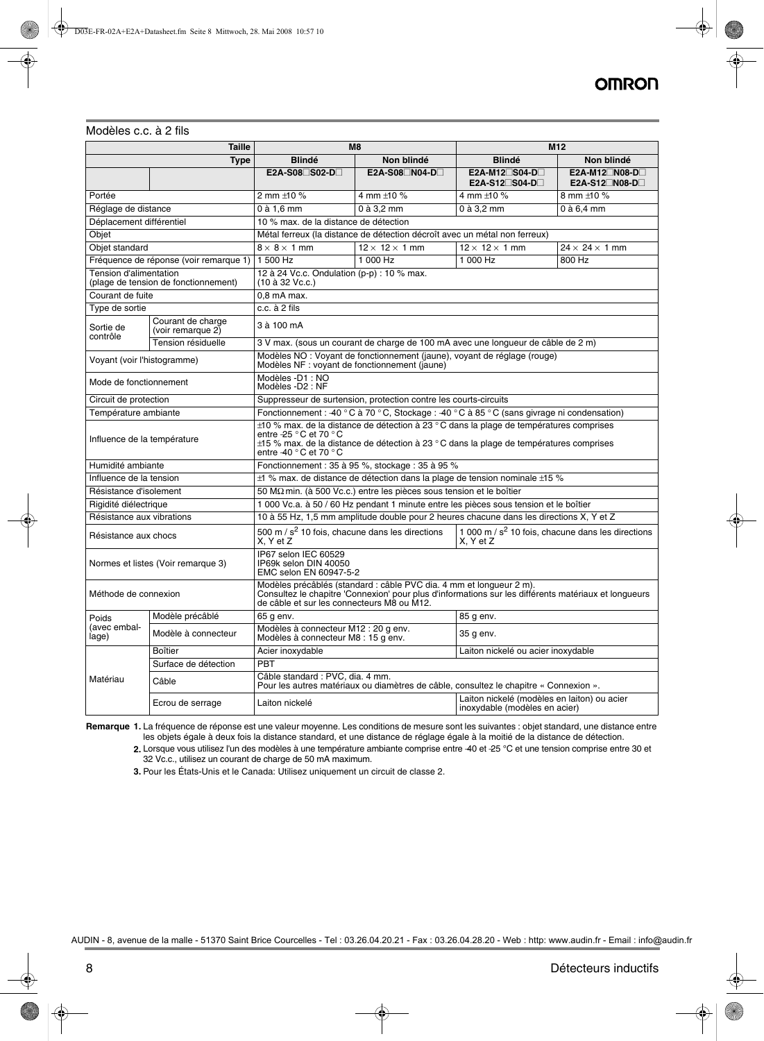### Modèles c.c. à 2 fils

|                             | <b>Taille</b>                             | M <sub>8</sub><br>M <sub>12</sub>                                                                                                                                                                                                              |                                                                                                                           |                                                                              |                                  |  |  |  |  |
|-----------------------------|-------------------------------------------|------------------------------------------------------------------------------------------------------------------------------------------------------------------------------------------------------------------------------------------------|---------------------------------------------------------------------------------------------------------------------------|------------------------------------------------------------------------------|----------------------------------|--|--|--|--|
|                             | <b>Type</b>                               | <b>Blindé</b>                                                                                                                                                                                                                                  | Non blindé                                                                                                                | <b>Blindé</b>                                                                | Non blindé                       |  |  |  |  |
|                             |                                           | E2A-S08□S02-D□                                                                                                                                                                                                                                 | E2A-S08□N04-D□                                                                                                            | E2A-M12□S04-D□<br>E2A-S12□S04-D□                                             | E2A-M12□N08-D□<br>E2A-S12□N08-D□ |  |  |  |  |
| Portée                      |                                           | 2 mm $\pm$ 10 %                                                                                                                                                                                                                                | 4 mm ±10 %                                                                                                                | 4 mm ±10 %                                                                   | 8 mm ±10 %                       |  |  |  |  |
| Réglage de distance         |                                           | 0 à 1,6 mm                                                                                                                                                                                                                                     | 0 à 3,2 mm                                                                                                                | 0 à 3,2 mm                                                                   | 0 à 6,4 mm                       |  |  |  |  |
| Déplacement différentiel    |                                           | 10 % max, de la distance de détection                                                                                                                                                                                                          |                                                                                                                           |                                                                              |                                  |  |  |  |  |
| Objet                       |                                           | Métal ferreux (la distance de détection décroît avec un métal non ferreux)                                                                                                                                                                     |                                                                                                                           |                                                                              |                                  |  |  |  |  |
| Objet standard              |                                           | $8 \times 8 \times 1$ mm                                                                                                                                                                                                                       | $12 \times 12 \times 1$ mm                                                                                                | $12 \times 12 \times 1$ mm                                                   | $24 \times 24 \times 1$ mm       |  |  |  |  |
|                             | Fréquence de réponse (voir remarque 1)    | 1 500 Hz                                                                                                                                                                                                                                       | 1 000 Hz                                                                                                                  | 1 000 Hz                                                                     | 800 Hz                           |  |  |  |  |
| Tension d'alimentation      | (plage de tension de fonctionnement)      | 12 à 24 Vc.c. Ondulation (p-p) : 10 % max.<br>(10 à 32 Vc.c.)                                                                                                                                                                                  |                                                                                                                           |                                                                              |                                  |  |  |  |  |
| Courant de fuite            |                                           | 0,8 mA max.                                                                                                                                                                                                                                    |                                                                                                                           |                                                                              |                                  |  |  |  |  |
| Type de sortie              |                                           | c.c. à 2 fils                                                                                                                                                                                                                                  |                                                                                                                           |                                                                              |                                  |  |  |  |  |
| Sortie de<br>contrôle       | Courant de charge<br>(voir remarque $2$ ) | 3 à 100 mA                                                                                                                                                                                                                                     |                                                                                                                           |                                                                              |                                  |  |  |  |  |
|                             | Tension résiduelle                        |                                                                                                                                                                                                                                                | 3 V max. (sous un courant de charge de 100 mA avec une longueur de câble de 2 m)                                          |                                                                              |                                  |  |  |  |  |
| Voyant (voir l'histogramme) |                                           |                                                                                                                                                                                                                                                | Modèles NO : Voyant de fonctionnement (jaune), voyant de réglage (rouge)<br>Modèles NF : voyant de fonctionnement (jaune) |                                                                              |                                  |  |  |  |  |
| Mode de fonctionnement      |                                           | Modèles -D1 : NO<br>Modèles -D2 : NF                                                                                                                                                                                                           |                                                                                                                           |                                                                              |                                  |  |  |  |  |
| Circuit de protection       |                                           | Suppresseur de surtension, protection contre les courts-circuits                                                                                                                                                                               |                                                                                                                           |                                                                              |                                  |  |  |  |  |
| Température ambiante        |                                           | Fonctionnement : -40 °C à 70 °C, Stockage : -40 °C à 85 °C (sans givrage ni condensation)                                                                                                                                                      |                                                                                                                           |                                                                              |                                  |  |  |  |  |
| Influence de la température |                                           | $\pm$ 10 % max. de la distance de détection à 23 °C dans la plage de températures comprises<br>entre $-25$ °C et 70 °C<br>$\pm$ 15 % max. de la distance de détection à 23 °C dans la plage de températures comprises<br>entre -40 °C et 70 °C |                                                                                                                           |                                                                              |                                  |  |  |  |  |
| Humidité ambiante           |                                           | Fonctionnement: 35 à 95 %, stockage: 35 à 95 %                                                                                                                                                                                                 |                                                                                                                           |                                                                              |                                  |  |  |  |  |
| Influence de la tension     |                                           | ±1 % max. de distance de détection dans la plage de tension nominale ±15 %                                                                                                                                                                     |                                                                                                                           |                                                                              |                                  |  |  |  |  |
| Résistance d'isolement      |                                           | 50 MΩ min. (à 500 Vc.c.) entre les pièces sous tension et le boîtier                                                                                                                                                                           |                                                                                                                           |                                                                              |                                  |  |  |  |  |
| Rigidité diélectrique       |                                           | 1 000 Vc.a. à 50 / 60 Hz pendant 1 minute entre les pièces sous tension et le boîtier                                                                                                                                                          |                                                                                                                           |                                                                              |                                  |  |  |  |  |
| Résistance aux vibrations   |                                           | 10 à 55 Hz, 1,5 mm amplitude double pour 2 heures chacune dans les directions X, Y et Z                                                                                                                                                        |                                                                                                                           |                                                                              |                                  |  |  |  |  |
| Résistance aux chocs        |                                           | 500 m / $s^2$ 10 fois, chacune dans les directions<br>1 000 m / $s^2$ 10 fois, chacune dans les directions<br>X. Y et Z<br>X. Y et Z                                                                                                           |                                                                                                                           |                                                                              |                                  |  |  |  |  |
|                             | Normes et listes (Voir remarque 3)        | IP67 selon IEC 60529<br>IP69k selon DIN 40050<br>EMC selon EN 60947-5-2                                                                                                                                                                        |                                                                                                                           |                                                                              |                                  |  |  |  |  |
| Méthode de connexion        |                                           | Modèles précâblés (standard : câble PVC dia. 4 mm et longueur 2 m).<br>Consultez le chapitre 'Connexion' pour plus d'informations sur les différents matériaux et longueurs<br>de câble et sur les connecteurs M8 ou M12.                      |                                                                                                                           |                                                                              |                                  |  |  |  |  |
| Poids                       | Modèle précâblé                           | 65 g env.                                                                                                                                                                                                                                      |                                                                                                                           | 85 g env.                                                                    |                                  |  |  |  |  |
| (avec embal-<br>lage)       | Modèle à connecteur                       | Modèles à connecteur M12 : 20 g env.<br>35 g env.<br>Modèles à connecteur M8 : 15 g env.                                                                                                                                                       |                                                                                                                           |                                                                              |                                  |  |  |  |  |
|                             | <b>Boîtier</b>                            | Acier inoxydable                                                                                                                                                                                                                               |                                                                                                                           | Laiton nickelé ou acier inoxydable                                           |                                  |  |  |  |  |
|                             | Surface de détection                      | PBT                                                                                                                                                                                                                                            |                                                                                                                           |                                                                              |                                  |  |  |  |  |
| Matériau                    | Câble                                     | Câble standard : PVC, dia. 4 mm.                                                                                                                                                                                                               | Pour les autres matériaux ou diamètres de câble, consultez le chapitre « Connexion ».                                     |                                                                              |                                  |  |  |  |  |
|                             | Ecrou de serrage                          | Laiton nickelé                                                                                                                                                                                                                                 |                                                                                                                           | Laiton nickelé (modèles en laiton) ou acier<br>inoxydable (modèles en acier) |                                  |  |  |  |  |

Remarque 1. La fréquence de réponse est une valeur moyenne. Les conditions de mesure sont les suivantes : objet standard, une distance entre les objets égale à deux fois la distance standard, et une distance de réglage égale à la moitié de la distance de détection.

**2.** Lorsque vous utilisez l'un des modèles à une température ambiante comprise entre −40 et −25 °C et une tension comprise entre 30 et 32 Vc.c., utilisez un courant de charge de 50 mA maximum.

**3.** Pour les États-Unis et le Canada: Utilisez uniquement un circuit de classe 2.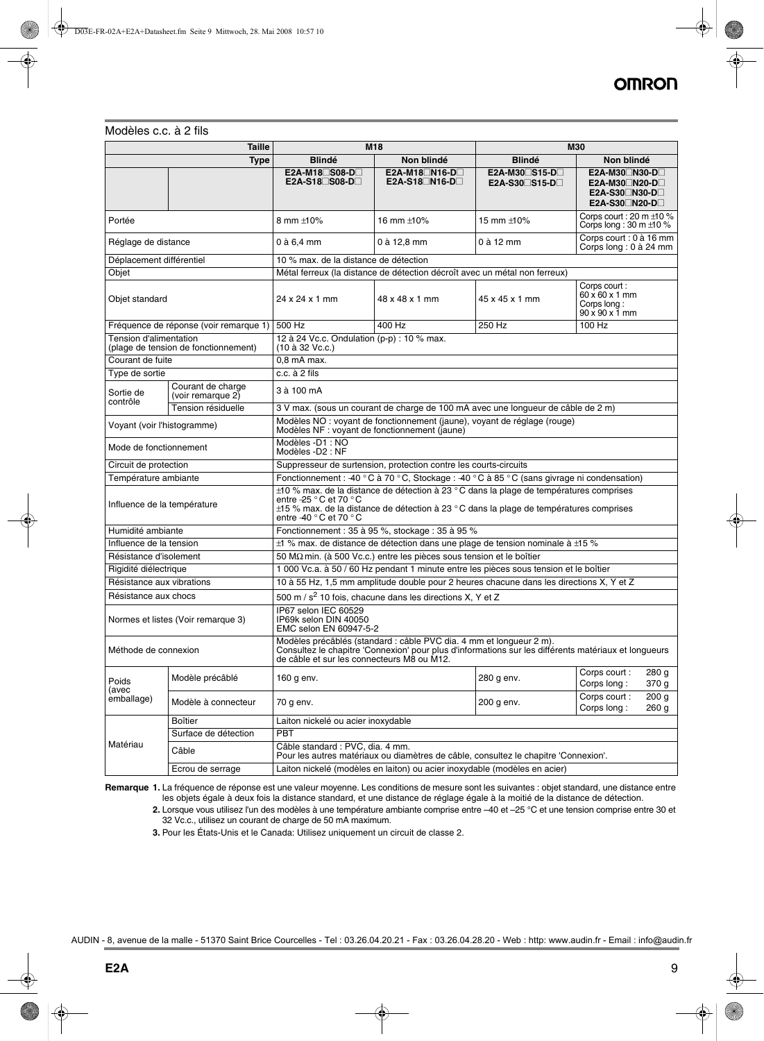### Modèles c.c. à 2 fils

|                                    | <b>Taille</b>                                 | M18                                                                                                                                                                                                                                                       |                                                | M30                                                                                       |                                                                             |  |  |
|------------------------------------|-----------------------------------------------|-----------------------------------------------------------------------------------------------------------------------------------------------------------------------------------------------------------------------------------------------------------|------------------------------------------------|-------------------------------------------------------------------------------------------|-----------------------------------------------------------------------------|--|--|
| <b>Type</b>                        |                                               | <b>Blindé</b>                                                                                                                                                                                                                                             | Non blindé                                     | <b>Blindé</b>                                                                             | Non blindé                                                                  |  |  |
|                                    |                                               | E2A-M18□S08-D□<br>E2A-S18□S08-D□                                                                                                                                                                                                                          | E2A-M18□N16-D□<br>E2A-S18□N16-D□               | E2A-M30□S15-D□<br>E2A-S30□S15-D□                                                          | E2A-M30□N30-D□<br>E2A-M30□N20-D□<br>E2A-S30□N30-D□<br>E2A-S30□N20-D□        |  |  |
| Portée                             |                                               | 8 mm ±10%                                                                                                                                                                                                                                                 | 16 mm ±10%                                     | 15 mm ±10%                                                                                | Corps court : 20 m ±10 %<br>Corps long: $30 \text{ m} \pm 10 \%$            |  |  |
| Réglage de distance                |                                               | $0$ à $6.4$ mm                                                                                                                                                                                                                                            | 0 à 12,8 mm                                    | 0 à 12 mm                                                                                 | Corps court : 0 à 16 mm<br>Corps long : 0 à 24 mm                           |  |  |
| Déplacement différentiel           |                                               | 10 % max. de la distance de détection                                                                                                                                                                                                                     |                                                |                                                                                           |                                                                             |  |  |
| Objet                              |                                               | Métal ferreux (la distance de détection décroît avec un métal non ferreux)                                                                                                                                                                                |                                                |                                                                                           |                                                                             |  |  |
| Objet standard                     |                                               | 24 x 24 x 1 mm                                                                                                                                                                                                                                            | 48 x 48 x 1 mm                                 | 45 x 45 x 1 mm                                                                            | Corps court:<br>60 x 60 x 1 mm<br>Corps long:<br>$90 \times 90 \times 1$ mm |  |  |
|                                    | Fréquence de réponse (voir remarque 1) 500 Hz |                                                                                                                                                                                                                                                           | 400 Hz                                         | 250 Hz                                                                                    | 100 Hz                                                                      |  |  |
| Tension d'alimentation             | (plage de tension de fonctionnement)          | 12 à 24 Vc.c. Ondulation (p-p) : 10 % max.<br>(10 à 32 Vc.c.)                                                                                                                                                                                             |                                                |                                                                                           |                                                                             |  |  |
| Courant de fuite                   |                                               | $0.8$ mA max.                                                                                                                                                                                                                                             |                                                |                                                                                           |                                                                             |  |  |
| Type de sortie                     |                                               | c.c. à 2 fils                                                                                                                                                                                                                                             |                                                |                                                                                           |                                                                             |  |  |
| Sortie de<br>contrôle              | Courant de charge<br>(voir remarque 2)        | 3 à 100 mA                                                                                                                                                                                                                                                |                                                |                                                                                           |                                                                             |  |  |
|                                    | Tension résiduelle                            | 3 V max. (sous un courant de charge de 100 mA avec une longueur de câble de 2 m)                                                                                                                                                                          |                                                |                                                                                           |                                                                             |  |  |
| Voyant (voir l'histogramme)        |                                               | Modèles NO : voyant de fonctionnement (jaune), voyant de réglage (rouge)<br>Modèles NF : voyant de fonctionnement (jaune)                                                                                                                                 |                                                |                                                                                           |                                                                             |  |  |
| Mode de fonctionnement             |                                               | Modèles -D1 : NO<br>Modèles -D2 : NF                                                                                                                                                                                                                      |                                                |                                                                                           |                                                                             |  |  |
| Circuit de protection              |                                               | Suppresseur de surtension, protection contre les courts-circuits                                                                                                                                                                                          |                                                |                                                                                           |                                                                             |  |  |
| Température ambiante               |                                               |                                                                                                                                                                                                                                                           |                                                | Fonctionnement : -40 °C à 70 °C, Stockage : -40 °C à 85 °C (sans givrage ni condensation) |                                                                             |  |  |
| Influence de la température        |                                               | ±10 % max. de la distance de détection à 23 °C dans la plage de températures comprises<br>entre -25 $\degree$ C et 70 $\degree$ C<br>$\pm$ 15 % max. de la distance de détection à 23 °C dans la plage de températures comprises<br>entre -40 °C et 70 °C |                                                |                                                                                           |                                                                             |  |  |
| Humidité ambiante                  |                                               |                                                                                                                                                                                                                                                           | Fonctionnement: 35 à 95 %, stockage: 35 à 95 % |                                                                                           |                                                                             |  |  |
| Influence de la tension            |                                               |                                                                                                                                                                                                                                                           |                                                | ±1 % max. de distance de détection dans une plage de tension nominale à ±15 %             |                                                                             |  |  |
| Résistance d'isolement             |                                               | 50 MΩ min. (à 500 Vc.c.) entre les pièces sous tension et le boîtier                                                                                                                                                                                      |                                                |                                                                                           |                                                                             |  |  |
| Rigidité diélectrique              |                                               | 1 000 Vc.a. à 50 / 60 Hz pendant 1 minute entre les pièces sous tension et le boîtier                                                                                                                                                                     |                                                |                                                                                           |                                                                             |  |  |
| Résistance aux vibrations          |                                               | 10 à 55 Hz, 1,5 mm amplitude double pour 2 heures chacune dans les directions X, Y et Z                                                                                                                                                                   |                                                |                                                                                           |                                                                             |  |  |
| Résistance aux chocs               |                                               | 500 m / s <sup>2</sup> 10 fois, chacune dans les directions X, Y et Z                                                                                                                                                                                     |                                                |                                                                                           |                                                                             |  |  |
| Normes et listes (Voir remarque 3) |                                               | IP67 selon IEC 60529<br>IP69k selon DIN 40050<br>EMC selon EN 60947-5-2                                                                                                                                                                                   |                                                |                                                                                           |                                                                             |  |  |
| Méthode de connexion               |                                               | Modèles précâblés (standard : câble PVC dia. 4 mm et longueur 2 m).<br>Consultez le chapitre 'Connexion' pour plus d'informations sur les différents matériaux et longueurs<br>de câble et sur les connecteurs M8 ou M12.                                 |                                                |                                                                                           |                                                                             |  |  |
| Poids<br>(avec                     | Modèle précâblé                               | 160 g env.                                                                                                                                                                                                                                                |                                                | 280 g env.                                                                                | Corps court:<br>280 g<br>Corps long:<br>370 g                               |  |  |
| emballage)                         | Modèle à connecteur                           | 70 g env.                                                                                                                                                                                                                                                 |                                                | 200 g env.                                                                                | Corps court :<br>200 g<br>Corps long:<br>260 g                              |  |  |
|                                    | Boîtier                                       | Laiton nickelé ou acier inoxydable                                                                                                                                                                                                                        |                                                |                                                                                           |                                                                             |  |  |
|                                    | Surface de détection                          | <b>PBT</b>                                                                                                                                                                                                                                                |                                                |                                                                                           |                                                                             |  |  |
| Matériau                           | Câble                                         | Câble standard : PVC, dia. 4 mm.<br>Pour les autres matériaux ou diamètres de câble, consultez le chapitre 'Connexion'.                                                                                                                                   |                                                |                                                                                           |                                                                             |  |  |
|                                    | Ecrou de serrage                              | Laiton nickelé (modèles en laiton) ou acier inoxydable (modèles en acier)                                                                                                                                                                                 |                                                |                                                                                           |                                                                             |  |  |

Remarque 1. La fréquence de réponse est une valeur moyenne. Les conditions de mesure sont les suivantes : objet standard, une distance entre les objets égale à deux fois la distance standard, et une distance de réglage égale à la moitié de la distance de détection.

**2.** Lorsque vous utilisez l'un des modèles à une température ambiante comprise entre –40 et –25 °C et une tension comprise entre 30 et 32 Vc.c., utilisez un courant de charge de 50 mA maximum.

**3.** Pour les États-Unis et le Canada: Utilisez uniquement un circuit de classe 2.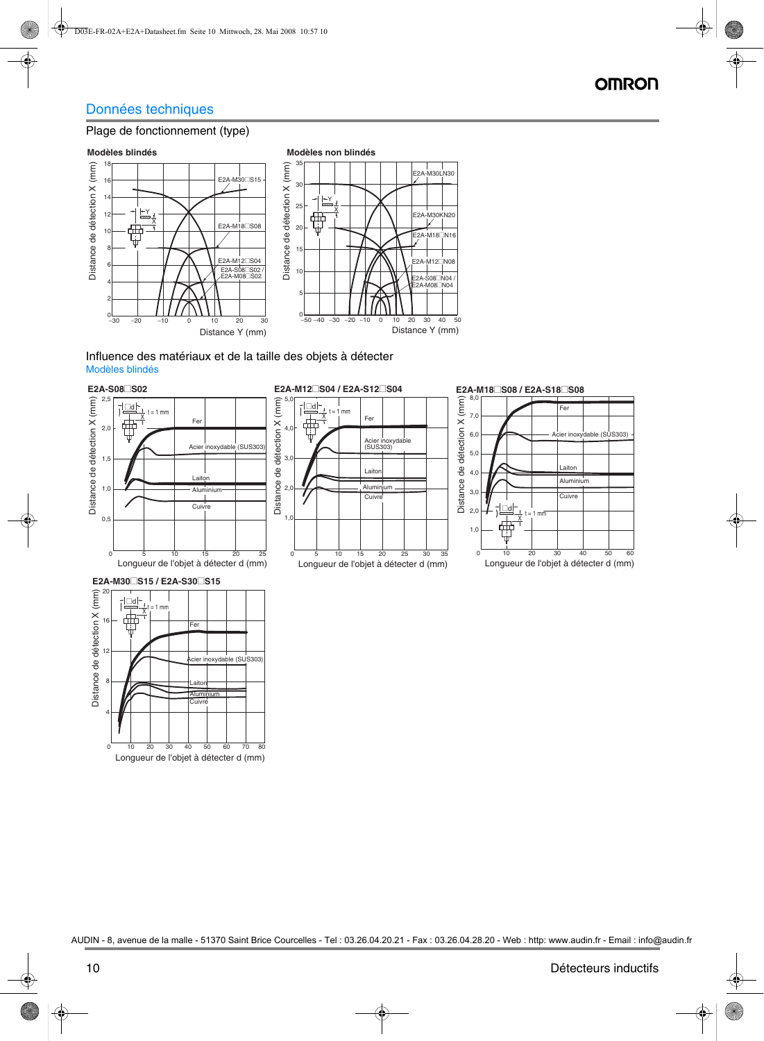## Données techniques

### Plage de fonctionnement (type)



Distance de détection X (mm)

Distance de détection X (mm)



E2A-M30LN30



### Influence des matériaux et de la taille des objets à détecter Modèles blindés

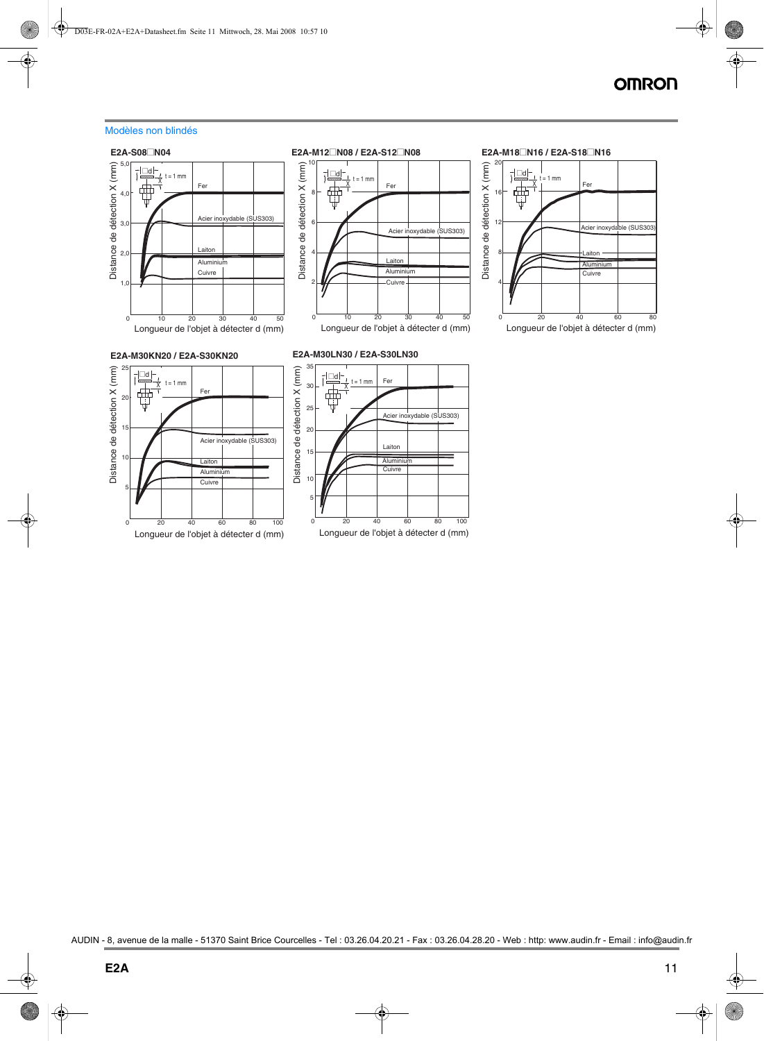### Modèles non blindés





#### **E2A-M30KN20 / E2A-S30KN20**





Longueur de l'objet à détecter d (mm)

#### **E2A-M30LN30 / E2A-S30LN30** 35 Distance de détection X (mm) Distance de détection X (mm)  $\underbrace{\Box d \vdash}_{\bot \quad X}^{\bot} \underbrace{t = 1 \text{ mm}}$ Fer 30 ╓┽╫ 25 Acier inoxydable (SUS303) 20 Laiton 15 Aluminium **Cuivre** 10 5 0 20 40 60 80 100 Longueur de l'objet à détecter d (mm)

#### **E2A-M18**@**N16 / E2A-S18**@N16



Longueur de l'objet à détecter d (mm)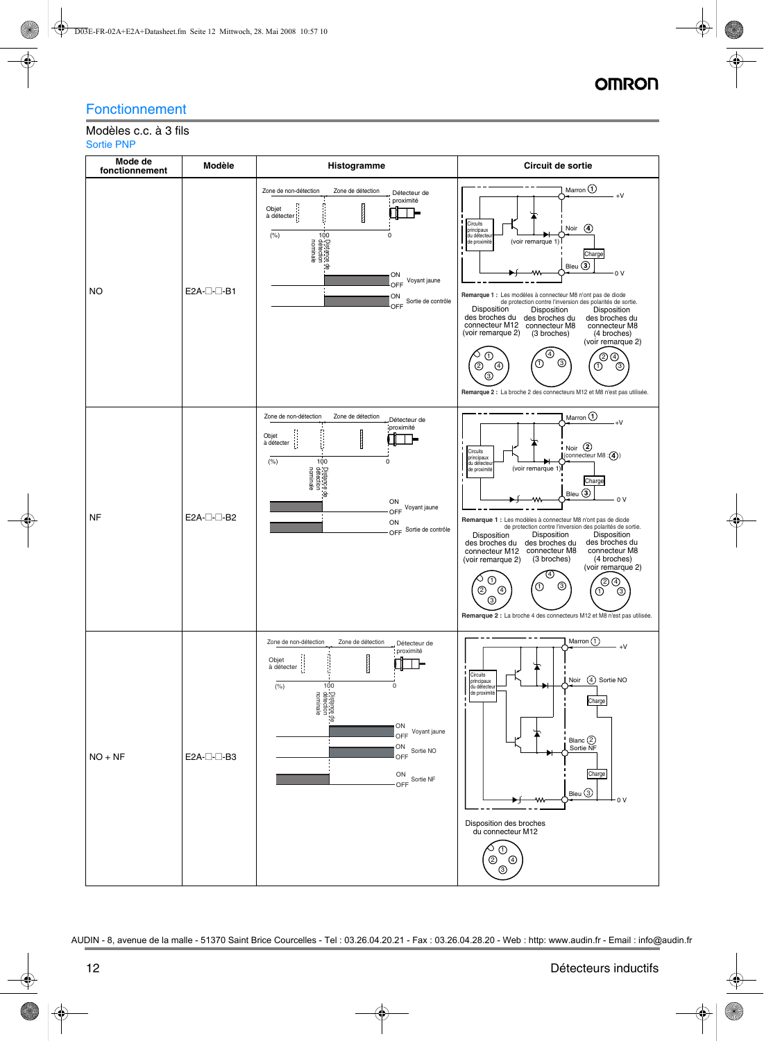## Fonctionnement

### Modèles c.c. à 3 fils Sortie PNP

| Mode de<br>fonctionnement | Modèle                | Histogramme                                                                                                                                                                                                                                                           | Circuit de sortie                                                                                                                                                                                                                                                                                                                                                                                                                                                                                                                                                                                                                                                                                                                                     |  |
|---------------------------|-----------------------|-----------------------------------------------------------------------------------------------------------------------------------------------------------------------------------------------------------------------------------------------------------------------|-------------------------------------------------------------------------------------------------------------------------------------------------------------------------------------------------------------------------------------------------------------------------------------------------------------------------------------------------------------------------------------------------------------------------------------------------------------------------------------------------------------------------------------------------------------------------------------------------------------------------------------------------------------------------------------------------------------------------------------------------------|--|
| <b>NO</b>                 | $E2A$ - $\Box$ - $B1$ | Zone de non-détection<br>Zone de détection<br>Détecteur de<br>proximité<br><b>THE</b><br>Objet<br>à détecter<br>o<br>Traditection<br>Traditection<br>(% )<br>0<br>ON<br>Voyant jaune<br>OFF<br>ON<br>Sortie de contrôle<br><b>OFF</b>                                 | Marron $\bigcirc$<br>$+V$<br>Circuits<br>$\circledcirc$<br>Noir<br>principaux<br>du détecteu<br>de proximité<br>(voir remarque 1)<br>Charge<br>Bleu $\circled{3}$<br>0V<br>Remarque 1 : Les modèles à connecteur M8 n'ont pas de diode<br>de protection contre l'inversion des polarités de sortie.<br>Disposition<br>Disposition<br>des broches du<br>Disposition<br>des broches du<br>des broches du<br>connecteur M12<br>connecteur M8<br>connecteur M8<br>(voir remarque 2)<br>(3 broches)<br>(4 broches)<br>(voir remarque 2)<br>٨<br>➀<br>$\circledcirc$<br>☺<br>➀<br>➁<br>⊕<br>➀<br>(3)<br>☺<br>Remarque 2 : La broche 2 des connecteurs M12 et M8 n'est pas utilisée.                                                                         |  |
| <b>NF</b>                 | E2A-□-□-B2            | Zone de non-détection<br>Zone de détection<br>Détecteur de<br>proximité<br>l<br>I<br>Objet<br>à détecter<br>o<br>Tradition<br>Tradition<br>Tradition<br>(%)<br>$\pmb{0}$<br>ှန္တ<br>ON<br>Voyant jaune<br>OFF<br>ON<br>OFF Sortie de contrôle                         | Marron $\bigcirc$<br>+٧<br>$Noir$ $\odot$<br>Circuits<br>(connecteur M8 : $(4)$ )<br>principaux<br>du détecteu<br>(voir remarque 1)<br>de proximité<br>Charge<br>Bleu $\left(3\right)$<br>0 <sub>V</sub><br>Remarque 1 : Les modèles à connecteur M8 n'ont pas de diode<br>de protection contre l'inversion des polarités de sortie.<br>Disposition<br>Disposition<br>Disposition<br>des broches du<br>des broches du<br>des broches du<br>connecteur M8<br>connecteur M8<br>connecteur M12<br>(3 broches)<br>(4 broches)<br>(voir remarque 2)<br>(voir remarque 2)<br>$^\copyright$<br>. .<br>$\circledcirc$<br>☺<br>(1)<br>$^{\circledR}$<br>☺<br>⊕<br>$\circled{3}$<br>☺<br>Remarque 2 : La broche 4 des connecteurs M12 et M8 n'est pas utilisée. |  |
| $NO + NF$                 | E2A-□-□-B3            | Zone de non-détection<br>Zone de détection<br>Détecteur de<br>proximité<br>71<br>и<br>Objet<br>à détecter<br>100<br>(%)<br>$\mathbf 0$<br>- Distance de<br>- détection<br>- nominale<br>ON<br>Voyant jaune<br>OFF<br>ON<br>Sortie NO<br>OFF<br>ON<br>Sortie NF<br>OFF | Marron $(1)$<br>$+V$<br>Circuits<br>Noir 4 Sortie NO<br>principaux<br>du détecteur<br>de proximité<br>Charge<br>Blanc $(2)$<br>Sortie NF<br>Charge<br>Bleu $\circledS$<br>0 V<br>Disposition des broches<br>du connecteur M12<br>$\odot$<br>➁<br>④<br>$^{\circledR}$                                                                                                                                                                                                                                                                                                                                                                                                                                                                                  |  |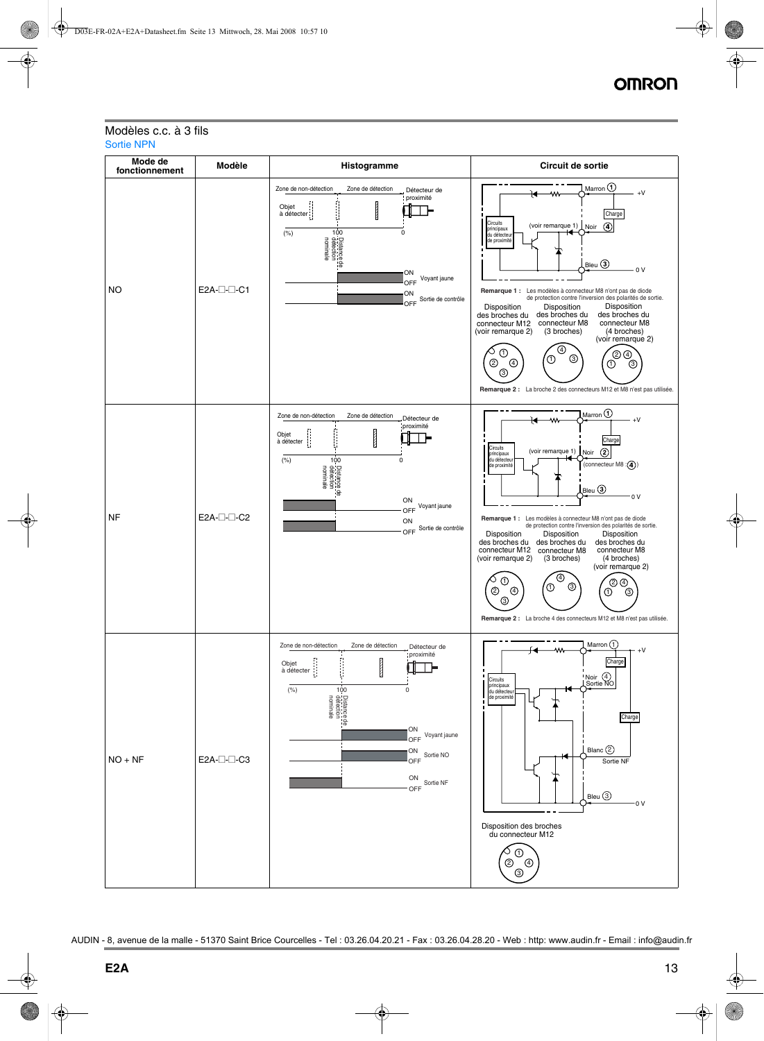### Modèles c.c. à 3 fils Sortie NPN

| Mode de<br>fonctionnement | Modèle                   | Histogramme                                                                                                                                                                                                                              | Circuit de sortie                                                                                                                                                                                                                                                                                                                                                                                                                                                                                                                                                                                                                                                                                                                                                           |
|---------------------------|--------------------------|------------------------------------------------------------------------------------------------------------------------------------------------------------------------------------------------------------------------------------------|-----------------------------------------------------------------------------------------------------------------------------------------------------------------------------------------------------------------------------------------------------------------------------------------------------------------------------------------------------------------------------------------------------------------------------------------------------------------------------------------------------------------------------------------------------------------------------------------------------------------------------------------------------------------------------------------------------------------------------------------------------------------------------|
| <b>NO</b>                 | $E2A - \Box - \Box - C1$ | Zone de non-détection<br>Zone de détection<br>Détecteur de<br>proximité<br>Objet<br>à détecter<br>j<br>e<br>Pistance de<br>(%)<br>$\Omega$<br>nominale<br>ON<br>Voyant jaune<br>OFF<br>ON<br>Sortie de contrôle<br>OFF                   | $Marron$ $\odot$<br>$+V$<br>Charge<br>Circuits<br>(voir remarque $1)$ Noir<br>$\circled{4}$<br>principaux<br>du détecteur<br>de proximité<br>$B$ leu $\circled{3}$<br>0 V<br>Remarque 1 : Les modèles à connecteur M8 n'ont pas de diode<br>de protection contre l'inversion des polarités de sortie.<br>Disposition<br>Disposition<br>Disposition<br>des broches du<br>des broches du<br>des broches du<br>connecteur M8<br>connecteur M8<br>connecteur M12<br>(4 broches)<br>(voir remarque 2)<br>(3 broches)<br>(voir remarque 2)<br>(4)<br>➀<br>$\circledcirc$<br>⊚<br>O)<br>➁<br>④<br>➀<br>☺<br>➂<br>Remarque 2 : La broche 2 des connecteurs M12 et M8 n'est pas utilisée.                                                                                            |
| NF                        | E2A-□-□-C2               | Zone de non-détection<br>Zone de détection<br>Détecteur de<br>proximité<br>I<br>I<br>I<br>Objet<br>à détecter<br>o<br>Forminale<br>Forminale<br>Tominale<br>(%)<br>0<br>¦န္<br>ON<br>Voyant jaune<br>OFF<br>ON<br>OFF Sortie de contrôle | $\mathsf{I}_\mathsf{Marron}$ $\mathbb O$<br>$+V$<br>Charge<br>Circuits<br>$\circled{2}$<br>(voir remarque 1)<br>Noir<br>principaux<br>du détecteu<br>(connecteur M8 : $\mathbf{\widehat{(4)}}$ )<br>de proximité<br>$_{\rm Bleu}$ $\odot$<br>0 V<br>Remarque 1 : Les modèles à connecteur M8 n'ont pas de diode<br>de protection contre l'inversion des polarités de sortie.<br>Disposition<br>Disposition<br>Disposition<br>des broches du<br>des broches du<br>des broches du<br>connecteur M12<br>connecteur M8<br>connecteur M8<br>(voir remarque 2)<br>(4 broches)<br>(3 broches)<br>(voir remarque 2)<br>④<br>$^\circledR$<br>$\circledcirc$<br>☺<br>⊕<br>➁<br>④<br>⊕<br>$\circled{3}$<br>☺<br>Remarque 2 : La broche 4 des connecteurs M12 et M8 n'est pas utilisée. |
| $NO + NF$                 | E2A-□-□-C3               | Zone de non-détection<br>Zone de détection<br>Détecteur de<br>proximité<br>Objet<br>à détecter<br>DO Distance de<br>(% )<br>0<br>ON<br>OFF<br>Voyant jaune<br>ON<br>Sortie NO<br>OFF<br>ON<br>Sortie NF<br>OFF                           | Marron (1)<br>$+V$<br>Charge<br>Noir <sup>(4)</sup><br>Sortie NO<br>Circuits<br>principaux<br>du détecteur<br>de proximité<br>Charge<br>Blanc (2)<br>Sortie NF<br>Bleu $\circledS$<br>0 V<br>Disposition des broches<br>du connecteur M12<br>$_{\tiny\textregistered}$<br>②<br>④<br>$^{\circledR}$                                                                                                                                                                                                                                                                                                                                                                                                                                                                          |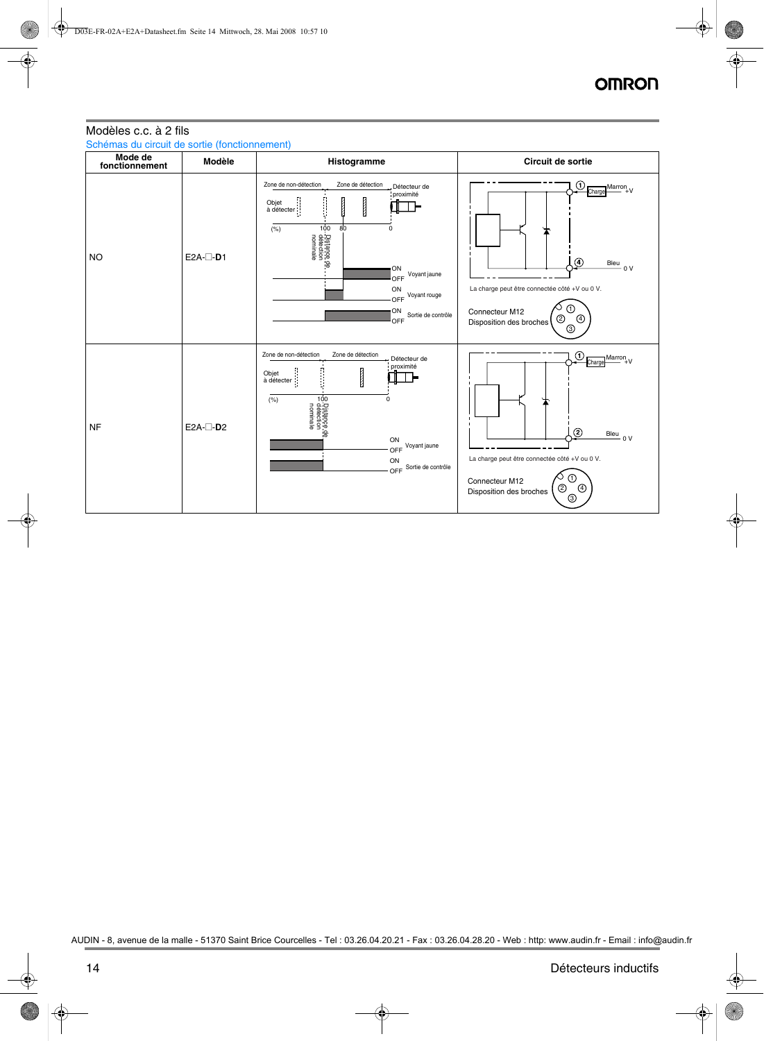### Modèles c.c. à 2 fils Schémas du circuit de sortie (fonctionnement)

| Mode de<br>fonctionnement | <b>Modèle</b> | Histogramme                                                                                                                                                                                                                                                                                     | Circuit de sortie                                                                                                                                                                                                                            |
|---------------------------|---------------|-------------------------------------------------------------------------------------------------------------------------------------------------------------------------------------------------------------------------------------------------------------------------------------------------|----------------------------------------------------------------------------------------------------------------------------------------------------------------------------------------------------------------------------------------------|
| <b>NO</b>                 | $E2A$ - $D1$  | Zone de non-détection<br>Zone de détection<br>Détecteur de<br>proximité<br>I<br>$\frac{1}{2}$<br>Objet<br>à détecter<br>o<br>1 détection<br>1 détection<br>1 dominale<br>80<br>(% )<br>$\mathbf 0$<br>ON<br>Voyant jaune<br>OFF<br>ON<br>Voyant rouge<br>OFF<br>ON<br>Sortie de contrôle<br>OFF | $_{\tiny\textregistered}$<br>$Marrow_{+V}$<br>Charge<br>$^{\circledR}$<br>$B$ leu 0 V<br>La charge peut être connectée côté +V ou 0 V.<br>➀<br>Connecteur M12<br>$^{\circledR}$<br>➁<br>Disposition des broches<br>⊚                         |
| <b>NF</b>                 | $E2A - D2$    | Zone de non-détection<br>Zone de détection<br>Détecteur de<br>proximité<br>I<br>Objet<br>à détecter<br>- O Distance de<br>France de Rection<br>Prominale<br>(%)<br>$\mathbf 0$<br>ON<br>Voyant jaune<br>OFF<br>ON<br>OFF Sortie de contrôle                                                     | $\left( \widehat{\mathbf{I}}\right)$<br>Marron <sub>+V</sub><br>Charge<br>$\odot$<br>Bleu<br>$-0V$<br>La charge peut être connectée côté +V ou 0 V.<br>$^\circledR$<br>Connecteur M12<br>◎<br>$^{\circledR}$<br>Disposition des broches<br>⊚ |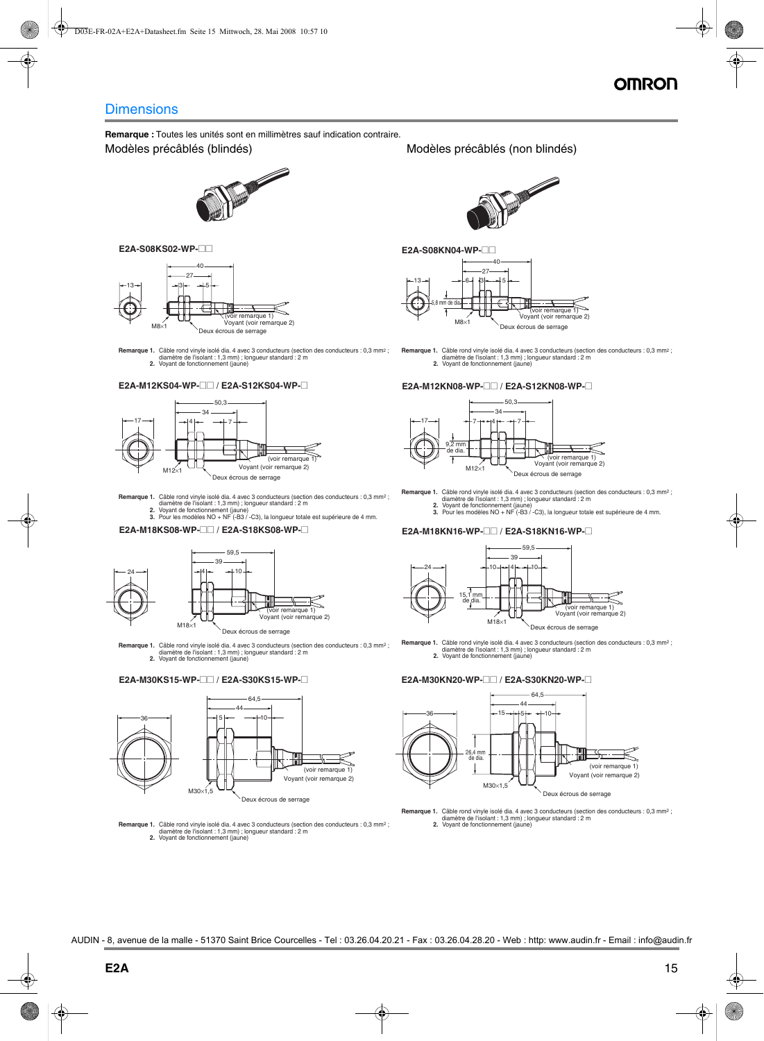**Remarque :** Toutes les unités sont en millimètres sauf indication contraire.



#### **E2A-S08KS02-WP-**@@



**Remarque 1.** Câble rond vinyle isolé dia. 4 avec 3 conducteurs (section des conducteurs : 0,3 mm2 ; diamètre de l'isolant : 1,3 mm) ; longueur standard : 2 m **2.** Voyant de fonctionnement (jaune)

#### **E2A-M12KS04-WP-**@@ / E2A-S12KS04-WP-@ **E2A-M12KN08-WP-**@@ / E2A-S12KN08-WP-@



- Remarque 1. Câble rond vinyle isolé dia. 4 avec 3 conducteurs (section des conducteurs : 0,3 mm<sup>2</sup> ;<br>diamètre de l'isolant : 1,3 mm) ; longueur standard : 2 m<br>2. Voyant de fonctionnement (jaune)<br>3. Pour les modèles NO + NF
	-

### **E2A-M18KS08-WP-**@@ / E2A-S18KS08-WP-@ **E2A-M18KN16-WP-**@@ / E2A-S18KN16-WP-@



**Remarque 1.** Câble rond vinyle isolé dia. 4 avec 3 conducteurs (section des conducteurs : 0,3 mm² ;<br>diamètre de l'isolant : 1,3 mm/ ; longueur standard : 2 m<br>2. Voyant de fonctionnement (jaune)

#### **E2A-M30KS15-WP-**@@ / E2A-S30KS15-WP-@



**Remarque 1.** Câble rond vinyle isolé dia. 4 avec 3 conducteurs (section des conducteurs : 0,3 mm2 ; diamètre de l'isolant : 1,3 mm) ; longueur standard : 2 m **2.** Voyant de fonctionnement (jaune)

### Modèles précâblés (blindés) Modèles précâblés (non blindés)





**Remarque 1.** Câble rond vinyle isolé dia. 4 avec 3 conducteurs (section des conducteurs : 0,3 mm2 ; diamètre de l'isolant : 1,3 mm) ; longueur standard : 2 m **2.** Voyant de fonctionnement (jaune)



- Remarque 1. Câble rond vinyle isolé dia. 4 avec 3 conducteurs (section des conducteurs : 0,3 mm² ;<br>diamètre de l'isolant : 1,3 mm) ; longueur standard : 2 m<br>2. Voyant de fonctionnement (jaune)<br>3. Pour les modèles NO + NF (
	-



**Remarque 1.** Câble rond vinyle isolé dia. 4 avec 3 conducteurs (section des conducteurs : 0,3 mm<sup>2</sup> ;<br>diamètre de l'isolant : 1,3 mm/ ; longueur standard : 2 m<br>2. Voyant de fonctionnement (jaune)

#### **E2A-M30KN20-WP-**@@ / E2A-S30KN20-WP-@



**Remarque 1.** Câble rond vinyle isolé dia. 4 avec 3 conducteurs (section des conducteurs : 0,3 mm2 ; diamètre de l'isolant : 1,3 mm) ; longueur standard : 2 m **2.** Voyant de fonctionnement (jaune)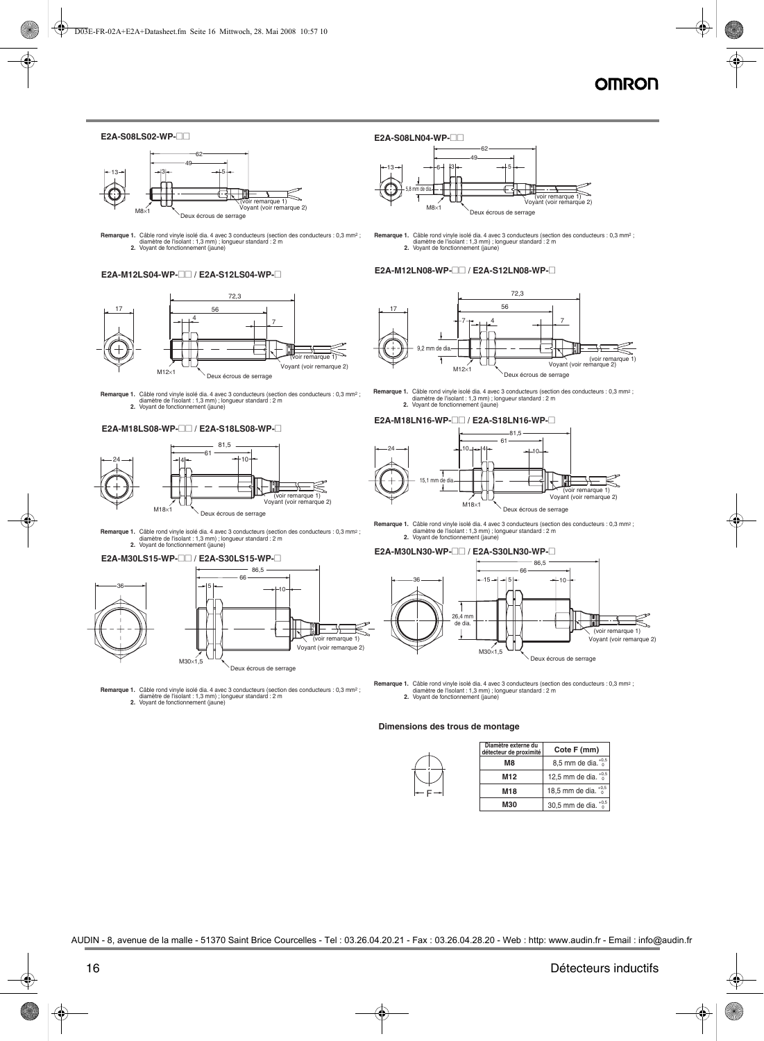#### **E2A-S08LS02-WP-**@@



**Remarque 1.** Câble rond vinyle isolé dia. 4 avec 3 conducteurs (section des conducteurs : 0,3 mm2 ; diamètre de l'isolant : 1,3 mm) ; longueur standard : 2 m **2.** Voyant de fonctionnement (jaune)





**Remarque 1.** Câble rond vinyle isolé dia. 4 avec 3 conducteurs (section des conducteurs : 0,3 mm² ;<br>diamètre de l'isolant : 1,3 mm<br>2. Voyant de fonctionnement (jaune)





**2.** Voyant de fonctionnement (jaune) **Remarque 1.** Câble rond vinyle isolé dia. 4 avec 3 conducteurs (section des conducteurs : 0,3 mm2 ; diamètre de l'isolant : 1,3 mm) ; longueur standard : 2 m **2.** Voyant de fonctionnement (jaune)





**Remarque 1.** Câble rond vinyle isolé dia. 4 avec 3 conducteurs (section des conducteurs : 0,3 mm² ;<br>diamètre de l'isolant : 1,3 mm/ ; longueur standard : 2 m<br>2. Voyant de fonctionnement (jaune)

#### **E2A-S08LN04-WP-**@@



**Remarque 1.** Câble rond vinyle isolé dia. 4 avec 3 conducteurs (section des conducteurs : 0,3 mm2 ; diamètre de l'isolant : 1,3 mm) ; longueur standard : 2 m **2.** Voyant de fonctionnement (jaune)

**E2A-M12LN08-WP-**@@ / E2A-S12LN08-WP-@



**Remarque 1.** Câble rond vinyle isolé dia. 4 avec 3 conducteurs (section des conducteurs : 0,3 mm² ;<br>diamètre de l'isolant : 1,3 mm/ ; longueur standard : 2 m<br>**2.** Voyant de fonctionnement (jaune)

#### **E2A-M18LN16-WP-**@@ / E2A-S18LN16-WP-@



**Remarque 1.** Câble rond vinyle isolé dia. 4 avec 3 conducteurs (section des conducteurs : 0,3 mm2 ; diamètre de l'isolant : 1,3 mm) ; longueur standard : 2 m

#### **E2A-M30LN30-WP-**@@ / E2A-S30LN30-WP-@



R**emarque 1.** Câble rond vinyle isolé dia. 4 avec 3 conducteurs (section des conducteurs : 0,3 mm² ;<br>diamètre de l'isolant : 1,3 mm/ ; longueur standard : 2 m<br>2. Voyant de fonctionnement (jaune)

#### **Dimensions des trous de montage**

F

| Diamètre externe du<br>détecteur de proximité | Cote F (mm)                   |
|-----------------------------------------------|-------------------------------|
| M8                                            | 8,5 mm de dia. $^{+0.5}_{0}$  |
| M <sub>12</sub>                               | 12,5 mm de dia. $^{+0.5}_{0}$ |
| M18                                           | 18,5 mm de dia. $^{+0,5}_{0}$ |
| <b>M30</b>                                    | 30,5 mm de dia. $^{+0.5}_{0}$ |

AUDIN - 8, avenue de la malle - 51370 Saint Brice Courcelles - Tel : 03.26.04.20.21 - Fax : 03.26.04.28.20 - Web : http: www.audin.fr - Email : info@audin.fr

### 16 Détecteurs inductifs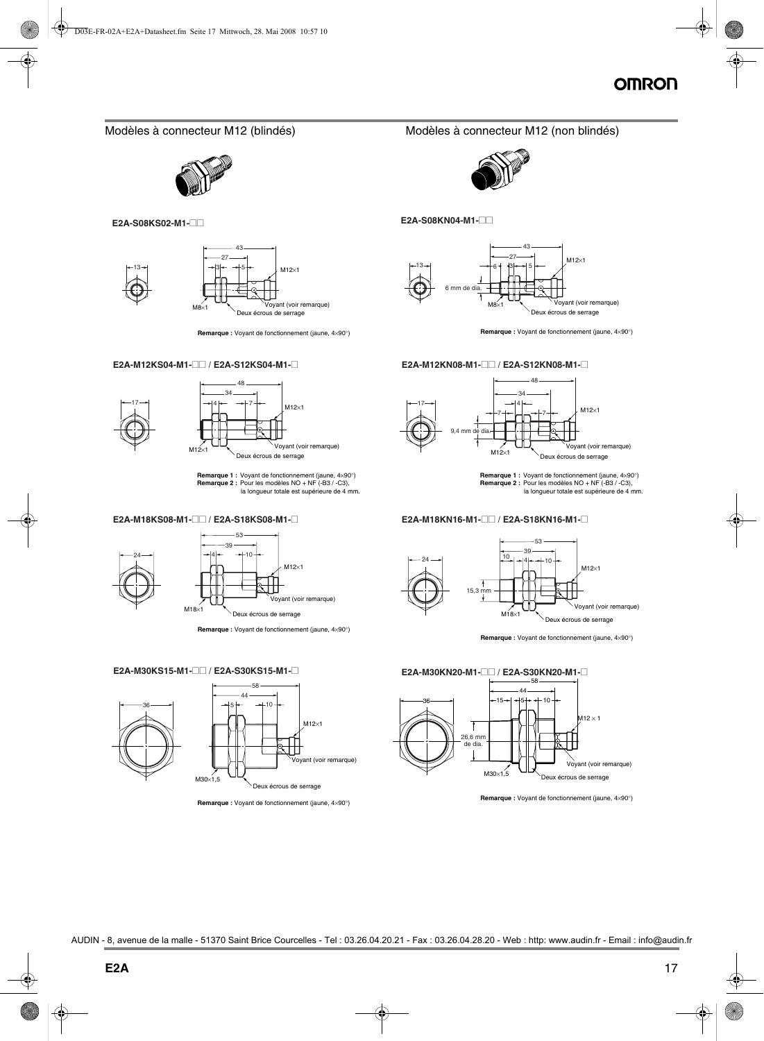

**E2A-S08KS02-M1-**@@



**Remarque :** Voyant de fonctionnement (jaune, 4×90°)

#### **E2A-M12KS04-M1-**@@ / E2A-S12KS04-M1-@ **E2A-M12KN08-M1-**@@ / E2A-S12KN08-M1-@



**Remarque 1 :** Voyant de fonctionnement (jaune, 4×90°) **Remarque 2 :** Pour les modèles NO + NF (-B3 / -C3), la longueur totale est supérieure de 4 mm.

#### **E2A-M18KS08-M1-**@@ / E2A-S18KS08-M1-@ **E2A-M18KN16-M1-**@@ / E2A-S18KN16-M1-@



**Remarque :** Voyant de fonctionnement (jaune, 4×90°)

#### **E2A-M30KS15-M1-**@@ / E2A-S30KS15-M1-@



**Remarque :** Voyant de fonctionnement (jaune, 4×90°)

### Modèles à connecteur M12 (blindés) Modèles à connecteur M12 (non blindés)



**E2A-S08KN04-M1-**@@



**Remarque :** Voyant de fonctionnement (jaune, 4×90°)



**Remarque 1 :** Voyant de fonctionnement (jaune, 4×90°) **Remarque 2 :** Pour les modèles NO + NF (-B3 / -C3), la longueur totale est supérieure de 4 mm.



**Remarque :** Voyant de fonctionnement (jaune, 4×90°)



**Remarque :** Voyant de fonctionnement (jaune, 4×90°)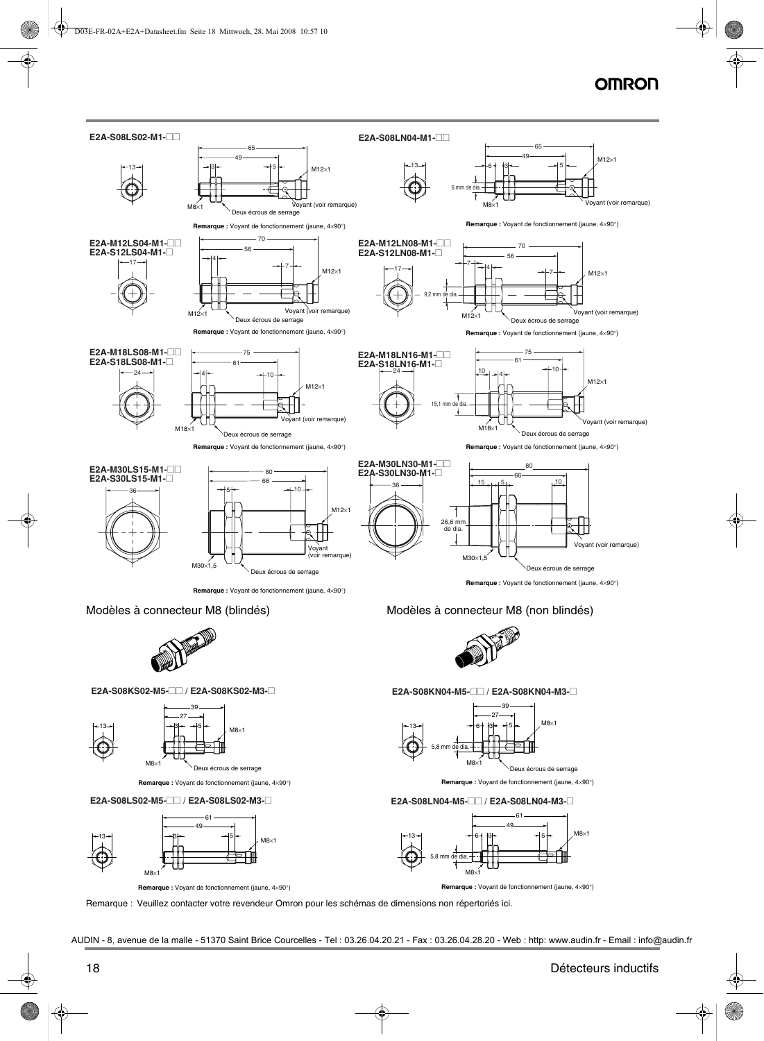

Remarque : Veuillez contacter votre revendeur Omron pour les schémas de dimensions non répertoriés ici.



**Remarque :** Voyant de fonctionnement (jaune, 4×90°) **Remarque :** Voyant de fonctionnement (jaune, 4×90°)





AUDIN - 8, avenue de la malle - 51370 Saint Brice Courcelles - Tel : 03.26.04.20.21 - Fax : 03.26.04.28.20 - Web : http: www.audin.fr - Email : info@audin.fr

### 18 Détecteurs inductifs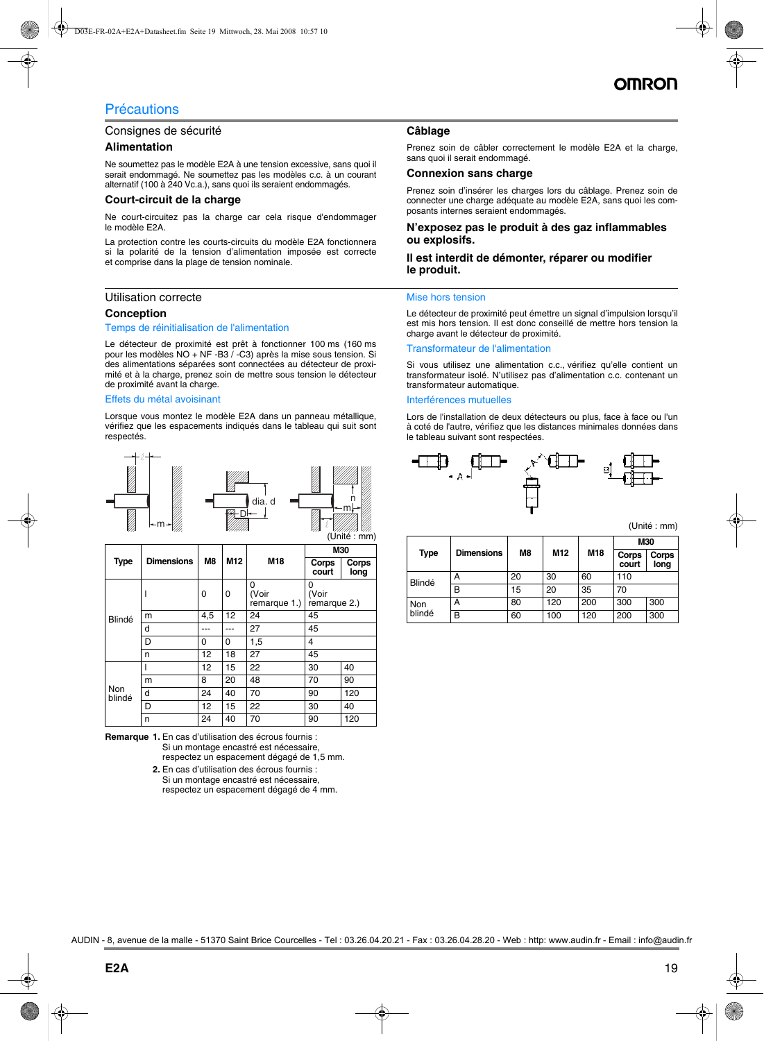## **Précautions**

#### Consignes de sécurité

#### **Alimentation**

Ne soumettez pas le modèle E2A à une tension excessive, sans quoi il serait endommagé. Ne soumettez pas les modèles c.c. à un courant alternatif (100 à 240 Vc.a.), sans quoi ils seraient endommagés.

### **Court-circuit de la charge**

Ne court-circuitez pas la charge car cela risque d'endommager le modèle E2A.

La protection contre les courts-circuits du modèle E2A fonctionnera si la polarité de la tension d'alimentation imposée est correcte et comprise dans la plage de tension nominale.

#### Utilisation correcte

### **Conception**

#### Temps de réinitialisation de l'alimentation

Le détecteur de proximité est prêt à fonctionner 100 ms (160 ms pour les modèles NO + NF -B3 / -C3) après la mise sous tension. Si des alimentations séparées sont connectées au détecteur de proximité et à la charge, prenez soin de mettre sous tension le détecteur de proximité avant la charge.

#### Effets du métal avoisinant

Lorsque vous montez le modèle E2A dans un panneau métallique, vérifiez que les espacements indiqués dans le tableau qui suit sont respectés.



|               |                   |                |     | <b>M30</b>                        |                            |               |
|---------------|-------------------|----------------|-----|-----------------------------------|----------------------------|---------------|
| <b>Type</b>   | <b>Dimensions</b> | M <sub>8</sub> | M12 | M18                               | Corps<br>court             | Corps<br>long |
|               |                   | 0              | 0   | $\Omega$<br>(Voir<br>remarque 1.) | O<br>(Voir<br>remarque 2.) |               |
| Blindé        | m                 | 4,5            | 12  | 24                                | 45                         |               |
|               | d                 |                |     | 27                                | 45                         |               |
|               | D                 | 0              | 0   | 1,5                               | 4                          |               |
|               | n                 | 12             | 18  | 27                                | 45                         |               |
|               |                   | 12             | 15  | 22                                | 30                         | 40            |
| Non<br>blindé | m                 | 8              | 20  | 48                                | 70                         | 90            |
|               | d                 | 24             | 40  | 70                                | 90                         | 120           |
|               | D                 | 12             | 15  | 22                                | 30                         | 40            |
|               | n                 | 24             | 40  | 70                                | 90                         | 120           |

**Remarque 1.** En cas d'utilisation des écrous fournis : Si un montage encastré est nécessaire,

respectez un espacement dégagé de 1,5 mm.

**2.** En cas d'utilisation des écrous fournis : Si un montage encastré est nécessaire, respectez un espacement dégagé de 4 mm.

### **Câblage**

Prenez soin de câbler correctement le modèle E2A et la charge, sans quoi il serait endommagé.

#### **Connexion sans charge**

Prenez soin d'insérer les charges lors du câblage. Prenez soin de connecter une charge adéquate au modèle E2A, sans quoi les composants internes seraient endommagés.

#### **N'exposez pas le produit à des gaz inflammables ou explosifs.**

### **Il est interdit de démonter, réparer ou modifier le produit.**

#### Mise hors tension

Le détecteur de proximité peut émettre un signal d'impulsion lorsqu'il est mis hors tension. Il est donc conseillé de mettre hors tension la charge avant le détecteur de proximité.

#### Transformateur de l'alimentation

Si vous utilisez une alimentation c.c., vérifiez qu'elle contient un transformateur isolé. N'utilisez pas d'alimentation c.c. contenant un transformateur automatique.

#### Interférences mutuelles

Lors de l'installation de deux détecteurs ou plus, face à face ou l'un à coté de l'autre, vérifiez que les distances minimales données dans le tableau suivant sont respectées.



(Unité : mm)

|               |                   |    |     |                 | <b>M30</b>     |               |
|---------------|-------------------|----|-----|-----------------|----------------|---------------|
| Type          | <b>Dimensions</b> | M8 | M12 | M <sub>18</sub> | Corps<br>court | Corps<br>long |
| Blindé        | А                 | 20 | 30  | 60              | 110            |               |
|               | B                 | 15 | 20  | 35              | 70             |               |
| Non<br>blindé | А                 | 80 | 120 | 200             | 300            | 300           |
|               | B                 | 60 | 100 | 120             | 200            | 300           |